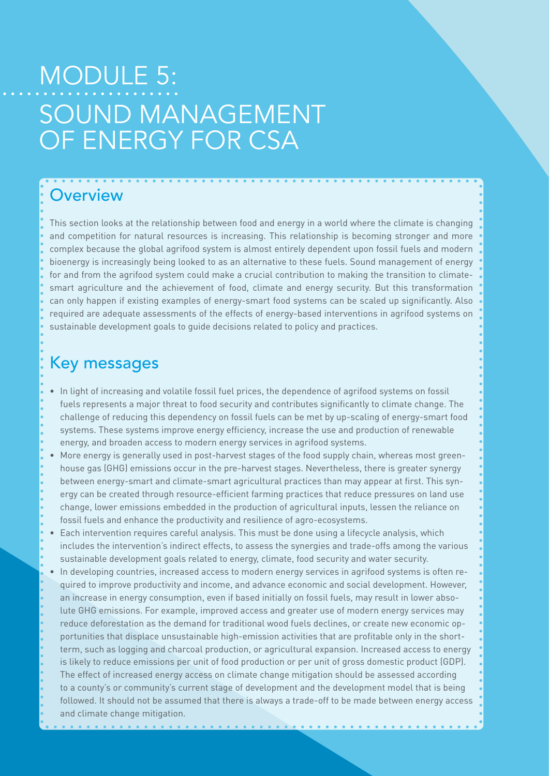# Module 5: SOUND MANAGEMENT OF ENERGY FOR CSA

## **Overview**

This section looks at the relationship between food and energy in a world where the climate is changing and competition for natural resources is increasing. This relationship is becoming stronger and more complex because the global agrifood system is almost entirely dependent upon fossil fuels and modern bioenergy is increasingly being looked to as an alternative to these fuels. Sound management of energy for and from the agrifood system could make a crucial contribution to making the transition to climatesmart agriculture and the achievement of food, climate and energy security. But this transformation can only happen if existing examples of energy-smart food systems can be scaled up significantly. Also required are adequate assessments of the effects of energy-based interventions in agrifood systems on sustainable development goals to guide decisions related to policy and practices.

## Key messages

- In light of increasing and volatile fossil fuel prices, the dependence of agrifood systems on fossil fuels represents a major threat to food security and contributes significantly to climate change. The challenge of reducing this dependency on fossil fuels can be met by up-scaling of energy-smart food systems. These systems improve energy efficiency, increase the use and production of renewable energy, and broaden access to modern energy services in agrifood systems.
- More energy is generally used in post-harvest stages of the food supply chain, whereas most greenhouse gas (GHG) emissions occur in the pre-harvest stages. Nevertheless, there is greater synergy between energy-smart and climate-smart agricultural practices than may appear at first. This synergy can be created through resource-efficient farming practices that reduce pressures on land use change, lower emissions embedded in the production of agricultural inputs, lessen the reliance on fossil fuels and enhance the productivity and resilience of agro-ecosystems.
- Each intervention requires careful analysis. This must be done using a lifecycle analysis, which includes the intervention's indirect effects, to assess the synergies and trade-offs among the various sustainable development goals related to energy, climate, food security and water security.
- In developing countries, increased access to modern energy services in agrifood systems is often required to improve productivity and income, and advance economic and social development. However, an increase in energy consumption, even if based initially on fossil fuels, may result in lower absolute GHG emissions. For example, improved access and greater use of modern energy services may reduce deforestation as the demand for traditional wood fuels declines, or create new economic opportunities that displace unsustainable high-emission activities that are profitable only in the shortterm, such as logging and charcoal production, or agricultural expansion. Increased access to energy is likely to reduce emissions per unit of food production or per unit of gross domestic product (GDP). The effect of increased energy access on climate change mitigation should be assessed according to a county's or community's current stage of development and the development model that is being followed. It should not be assumed that there is always a trade-off to be made between energy access and climate change mitigation.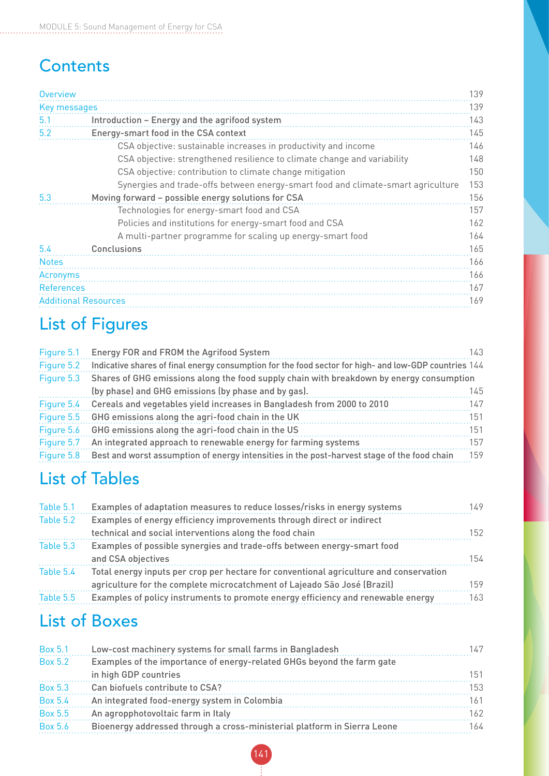## **Contents**

| <b>Overview</b>             |                                                                                  | 139 |
|-----------------------------|----------------------------------------------------------------------------------|-----|
| Key messages                |                                                                                  | 139 |
| 5.1                         | Introduction - Energy and the agrifood system                                    | 143 |
| 5.2                         | Energy-smart food in the CSA context                                             | 145 |
|                             | CSA objective: sustainable increases in productivity and income                  | 146 |
|                             | CSA objective: strengthened resilience to climate change and variability         | 148 |
|                             | CSA objective: contribution to climate change mitigation                         | 150 |
|                             | Synergies and trade-offs between energy-smart food and climate-smart agriculture | 153 |
| 5.3                         | Moving forward - possible energy solutions for CSA                               | 156 |
|                             | Technologies for energy-smart food and CSA                                       | 157 |
|                             | Policies and institutions for energy-smart food and CSA                          | 162 |
|                             | A multi-partner programme for scaling up energy-smart food                       | 164 |
| 5.4                         | Conclusions                                                                      | 165 |
| <b>Notes</b>                |                                                                                  | 166 |
| Acronyms                    |                                                                                  | 166 |
| <b>References</b>           |                                                                                  | 167 |
| <b>Additional Resources</b> |                                                                                  | 169 |
|                             |                                                                                  |     |

## List of Figures

| Figure 5.1 | <b>Energy FOR and FROM the Agrifood System</b>                                                        | 143 |
|------------|-------------------------------------------------------------------------------------------------------|-----|
| Figure 5.2 | Indicative shares of final energy consumption for the food sector for high- and low-GDP countries 144 |     |
| Figure 5.3 | Shares of GHG emissions along the food supply chain with breakdown by energy consumption              |     |
|            | (by phase) and GHG emissions (by phase and by gas).                                                   | 145 |
| Figure 5.4 | Cereals and vegetables yield increases in Bangladesh from 2000 to 2010                                | 147 |
| Figure 5.5 | GHG emissions along the agri-food chain in the UK                                                     | 151 |
| Figure 5.6 | GHG emissions along the agri-food chain in the US                                                     | 151 |
| Figure 5.7 | An integrated approach to renewable energy for farming systems                                        | 157 |
| Figure 5.8 | Best and worst assumption of energy intensities in the post-harvest stage of the food chain           | 159 |

## List of Tables

| Table 5.1 | Examples of adaptation measures to reduce losses/risks in energy systems               | 149 |
|-----------|----------------------------------------------------------------------------------------|-----|
| Table 5.2 | Examples of energy efficiency improvements through direct or indirect                  |     |
|           | technical and social interventions along the food chain                                | 152 |
| Table 5.3 | Examples of possible synergies and trade-offs between energy-smart food                |     |
|           | and CSA objectives                                                                     | 154 |
| Table 5.4 | Total energy inputs per crop per hectare for conventional agriculture and conservation |     |
|           | agriculture for the complete microcatchment of Lajeado São José (Brazil)               | 159 |
| Table 5.5 | Examples of policy instruments to promote energy efficiency and renewable energy       | 163 |

## List of Boxes

| <b>Box 5.1</b> | Low-cost machinery systems for small farms in Bangladesh                 | IД. |
|----------------|--------------------------------------------------------------------------|-----|
| Box 5.2        | Examples of the importance of energy-related GHGs beyond the farm gate   |     |
|                | in high GDP countries                                                    | 151 |
| Box 5.3        | Can biofuels contribute to CSA?                                          | 153 |
| <b>Box 5.4</b> | An integrated food-energy system in Colombia                             | 161 |
| Box 5.5        | An agropphotovoltaic farm in Italy                                       | 162 |
| Box 5.6        | Bioenergy addressed through a cross-ministerial platform in Sierra Leone | 164 |

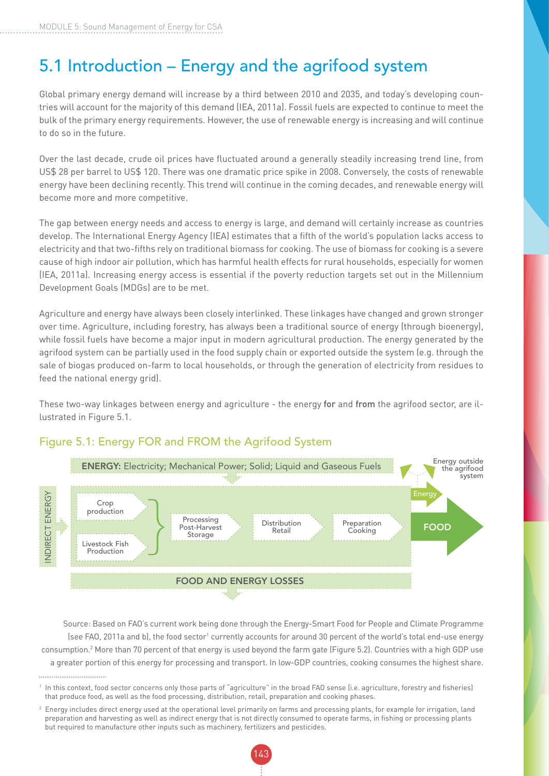## 5.1 Introduction – Energy and the agrifood system

Global primary energy demand will increase by a third between 2010 and 2035, and today's developing countries will account for the majority of this demand (IEA, 2011a). Fossil fuels are expected to continue to meet the bulk of the primary energy requirements. However, the use of renewable energy is increasing and will continue to do so in the future.

Over the last decade, crude oil prices have fluctuated around a generally steadily increasing trend line, from US\$ 28 per barrel to US\$ 120. There was one dramatic price spike in 2008. Conversely, the costs of renewable energy have been declining recently. This trend will continue in the coming decades, and renewable energy will become more and more competitive.

The gap between energy needs and access to energy is large, and demand will certainly increase as countries develop. The International Energy Agency (IEA) estimates that a fifth of the world's population lacks access to electricity and that two-fifths rely on traditional biomass for cooking. The use of biomass for cooking is a severe cause of high indoor air pollution, which has harmful health effects for rural households, especially for women (IEA, 2011a). Increasing energy access is essential if the poverty reduction targets set out in the Millennium Development Goals (MDGs) are to be met.

Agriculture and energy have always been closely interlinked. These linkages have changed and grown stronger over time. Agriculture, including forestry, has always been a traditional source of energy (through bioenergy), while fossil fuels have become a major input in modern agricultural production. The energy generated by the agrifood system can be partially used in the food supply chain or exported outside the system (e.g. through the sale of biogas produced on-farm to local households, or through the generation of electricity from residues to feed the national energy grid).

These two-way linkages between energy and agriculture - the energy for and from the agrifood sector, are illustrated in Figure 5.1.



#### Figure 5.1: Energy FOR and FROM the Agrifood System

Source: Based on FAO's current work being done through the Energy-Smart Food for People and Climate Programme (see FAO, 2011a and b), the food sector<sup>1</sup> currently accounts for around 30 percent of the world's total end-use energy consumption.<sup>2</sup> More than 70 percent of that energy is used beyond the farm gate (Figure 5.2). Countries with a high GDP use a greater portion of this energy for processing and transport. In low-GDP countries, cooking consumes the highest share.

<sup>1</sup> In this context, food sector concerns only those parts of "agriculture" in the broad FAO sense (i.e. agriculture, forestry and fisheries) that produce food, as well as the food processing, distribution, retail, preparation and cooking phases.

 $^2$  Energy includes direct energy used at the operational level primarily on farms and processing plants, for example for irrigation, land preparation and harvesting as well as indirect energy that is not directly consumed to operate farms, in fishing or processing plants but required to manufacture other inputs such as machinery, fertilizers and pesticides.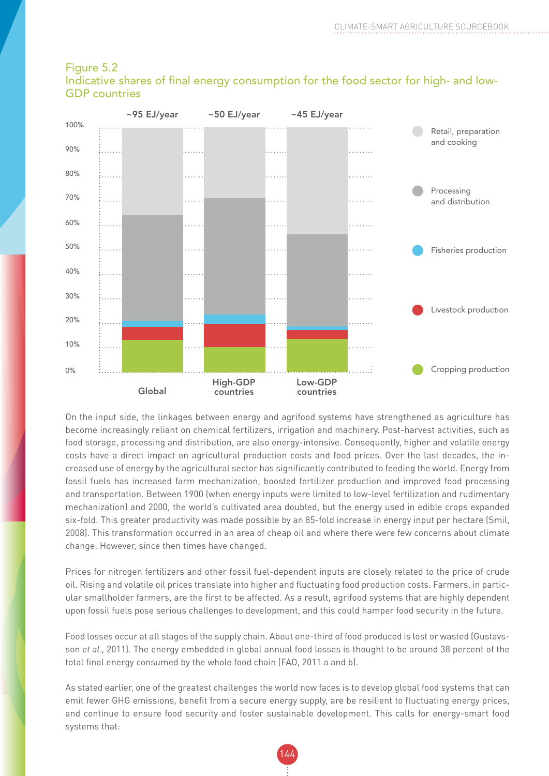

### Figure 5.2 Indicative shares of final energy consumption for the food sector for high- and low-GDP countries

On the input side, the linkages between energy and agrifood systems have strengthened as agriculture has become increasingly reliant on chemical fertilizers, irrigation and machinery. Post-harvest activities, such as food storage, processing and distribution, are also energy-intensive. Consequently, higher and volatile energy costs have a direct impact on agricultural production costs and food prices. Over the last decades, the increased use of energy by the agricultural sector has significantly contributed to feeding the world. Energy from fossil fuels has increased farm mechanization, boosted fertilizer production and improved food processing and transportation. Between 1900 (when energy inputs were limited to low-level fertilization and rudimentary mechanization) and 2000, the world's cultivated area doubled, but the energy used in edible crops expanded six-fold. This greater productivity was made possible by an 85-fold increase in energy input per hectare (Smil, 2008). This transformation occurred in an area of cheap oil and where there were few concerns about climate change. However, since then times have changed.

Prices for nitrogen fertilizers and other fossil fuel-dependent inputs are closely related to the price of crude oil. Rising and volatile oil prices translate into higher and fluctuating food production costs. Farmers, in particular smallholder farmers, are the first to be affected. As a result, agrifood systems that are highly dependent upon fossil fuels pose serious challenges to development, and this could hamper food security in the future.

Food losses occur at all stages of the supply chain. About one-third of food produced is lost or wasted (Gustavsson *et al.*, 2011). The energy embedded in global annual food losses is thought to be around 38 percent of the total final energy consumed by the whole food chain (FAO, 2011 a and b).

As stated earlier, one of the greatest challenges the world now faces is to develop global food systems that can emit fewer GHG emissions, benefit from a secure energy supply, are be resilient to fluctuating energy prices, and continue to ensure food security and foster sustainable development. This calls for energy-smart food systems that: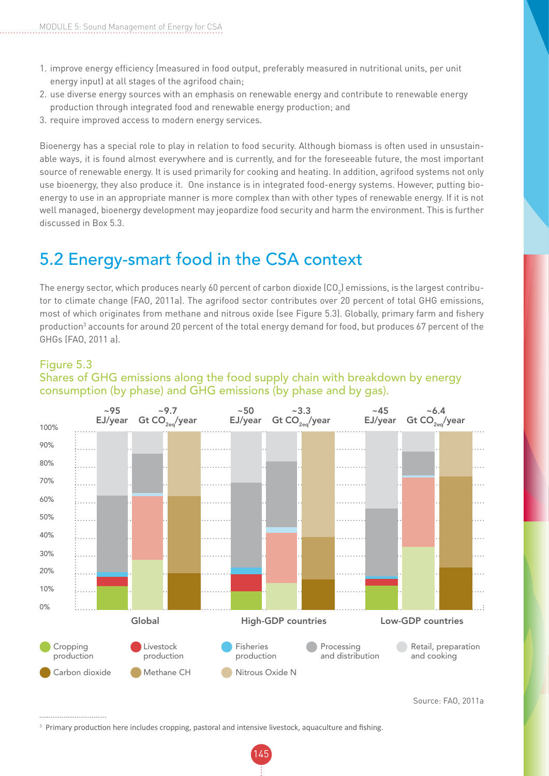- 1. improve energy efficiency (measured in food output, preferably measured in nutritional units, per unit energy input) at all stages of the agrifood chain;
- 2. use diverse energy sources with an emphasis on renewable energy and contribute to renewable energy production through integrated food and renewable energy production; and
- 3. require improved access to modern energy services.

Bioenergy has a special role to play in relation to food security. Although biomass is often used in unsustainable ways, it is found almost everywhere and is currently, and for the foreseeable future, the most important source of renewable energy. It is used primarily for cooking and heating. In addition, agrifood systems not only use bioenergy, they also produce it. One instance is in integrated food-energy systems. However, putting bioenergy to use in an appropriate manner is more complex than with other types of renewable energy. If it is not well managed, bioenergy development may jeopardize food security and harm the environment. This is further discussed in Box 5.3.

## 5.2 Energy-smart food in the CSA context

The energy sector, which produces nearly 60 percent of carbon dioxide (CO $_2$ ) emissions, is the largest contributor to climate change (FAO, 2011a). The agrifood sector contributes over 20 percent of total GHG emissions, most of which originates from methane and nitrous oxide (see Figure 5.3). Globally, primary farm and fishery production<sup>3</sup> accounts for around 20 percent of the total energy demand for food, but produces 67 percent of the GHGs (FAO, 2011 a).

#### Figure 5.3

#### Shares of GHG emissions along the food supply chain with breakdown by energy consumption (by phase) and GHG emissions (by phase and by gas).



145

Source: FAO, 2011a

<sup>&</sup>lt;sup>3</sup> Primary production here includes cropping, pastoral and intensive livestock, aquaculture and fishing.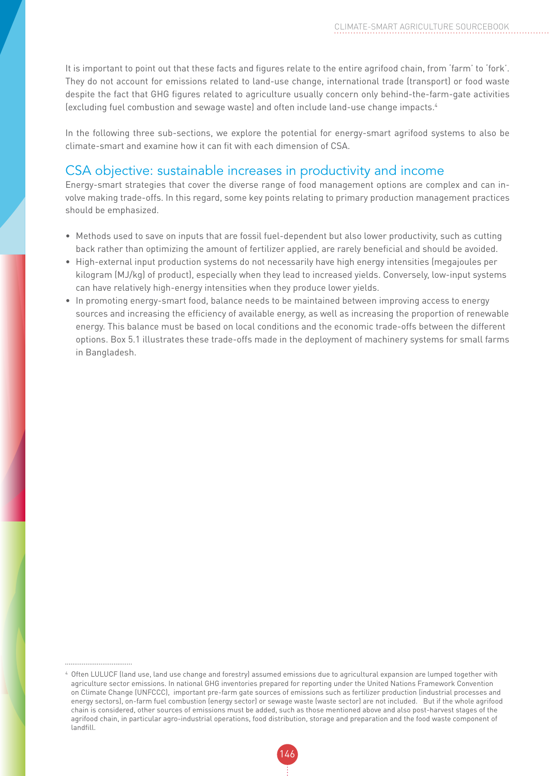It is important to point out that these facts and figures relate to the entire agrifood chain, from 'farm' to 'fork'. They do not account for emissions related to land-use change, international trade (transport) or food waste despite the fact that GHG figures related to agriculture usually concern only behind-the-farm-gate activities (excluding fuel combustion and sewage waste) and often include land-use change impacts.4

In the following three sub-sections, we explore the potential for energy-smart agrifood systems to also be climate-smart and examine how it can fit with each dimension of CSA.

### CSA objective: sustainable increases in productivity and income

Energy-smart strategies that cover the diverse range of food management options are complex and can involve making trade-offs. In this regard, some key points relating to primary production management practices should be emphasized.

- • Methods used to save on inputs that are fossil fuel-dependent but also lower productivity, such as cutting back rather than optimizing the amount of fertilizer applied, are rarely beneficial and should be avoided.
- High-external input production systems do not necessarily have high energy intensities (megajoules per kilogram (MJ/kg) of product), especially when they lead to increased yields. Conversely, low-input systems can have relatively high-energy intensities when they produce lower yields.
- • In promoting energy-smart food, balance needs to be maintained between improving access to energy sources and increasing the efficiency of available energy, as well as increasing the proportion of renewable energy. This balance must be based on local conditions and the economic trade-offs between the different options. Box 5.1 illustrates these trade-offs made in the deployment of machinery systems for small farms in Bangladesh.

<sup>4</sup> Often LULUCF (land use, land use change and forestry) assumed emissions due to agricultural expansion are lumped together with agriculture sector emissions. In national GHG inventories prepared for reporting under the United Nations Framework Convention on Climate Change (UNFCCC), important pre-farm gate sources of emissions such as fertilizer production (industrial processes and energy sectors), on-farm fuel combustion (energy sector) or sewage waste (waste sector) are not included. But if the whole agrifood chain is considered, other sources of emissions must be added, such as those mentioned above and also post-harvest stages of the agrifood chain, in particular agro-industrial operations, food distribution, storage and preparation and the food waste component of landfill.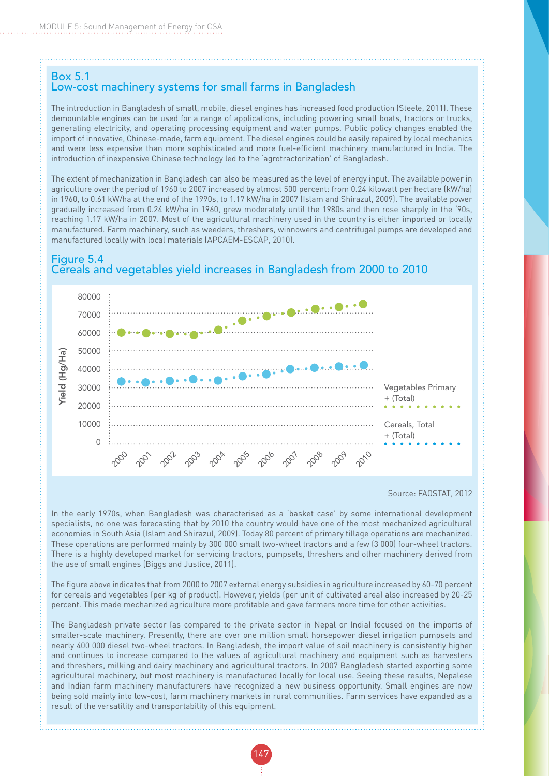#### Box 5.1 Low-cost machinery systems for small farms in Bangladesh

The introduction in Bangladesh of small, mobile, diesel engines has increased food production (Steele, 2011). These demountable engines can be used for a range of applications, including powering small boats, tractors or trucks, generating electricity, and operating processing equipment and water pumps. Public policy changes enabled the import of innovative, Chinese-made, farm equipment. The diesel engines could be easily repaired by local mechanics and were less expensive than more sophisticated and more fuel-efficient machinery manufactured in India. The introduction of inexpensive Chinese technology led to the 'agrotractorization' of Bangladesh.

The extent of mechanization in Bangladesh can also be measured as the level of energy input. The available power in agriculture over the period of 1960 to 2007 increased by almost 500 percent: from 0.24 kilowatt per hectare (kW/ha) in 1960, to 0.61 kW/ha at the end of the 1990s, to 1.17 kW/ha in 2007 (Islam and Shirazul, 2009). The available power gradually increased from 0.24 kW/ha in 1960, grew moderately until the 1980s and then rose sharply in the '90s, reaching 1.17 kW/ha in 2007. Most of the agricultural machinery used in the country is either imported or locally manufactured. Farm machinery, such as weeders, threshers, winnowers and centrifugal pumps are developed and manufactured locally with local materials (APCAEM-ESCAP, 2010).

### Figure 5.4 Cereals and vegetables yield increases in Bangladesh from 2000 to 2010



#### Source: FAOSTAT, 2012

In the early 1970s, when Bangladesh was characterised as a 'basket case' by some international development specialists, no one was forecasting that by 2010 the country would have one of the most mechanized agricultural economies in South Asia (Islam and Shirazul, 2009). Today 80 percent of primary tillage operations are mechanized. These operations are performed mainly by 300 000 small two-wheel tractors and a few (3 000) four-wheel tractors. There is a highly developed market for servicing tractors, pumpsets, threshers and other machinery derived from the use of small engines (Biggs and Justice, 2011).

The figure above indicates that from 2000 to 2007 external energy subsidies in agriculture increased by 60-70 percent for cereals and vegetables (per kg of product). However, yields (per unit of cultivated area) also increased by 20-25 percent. This made mechanized agriculture more profitable and gave farmers more time for other activities.

The Bangladesh private sector (as compared to the private sector in Nepal or India) focused on the imports of smaller-scale machinery. Presently, there are over one million small horsepower diesel irrigation pumpsets and nearly 400 000 diesel two-wheel tractors. In Bangladesh, the import value of soil machinery is consistently higher and continues to increase compared to the values of agricultural machinery and equipment such as harvesters and threshers, milking and dairy machinery and agricultural tractors. In 2007 Bangladesh started exporting some agricultural machinery, but most machinery is manufactured locally for local use. Seeing these results, Nepalese and Indian farm machinery manufacturers have recognized a new business opportunity. Small engines are now being sold mainly into low-cost, farm machinery markets in rural communities. Farm services have expanded as a result of the versatility and transportability of this equipment.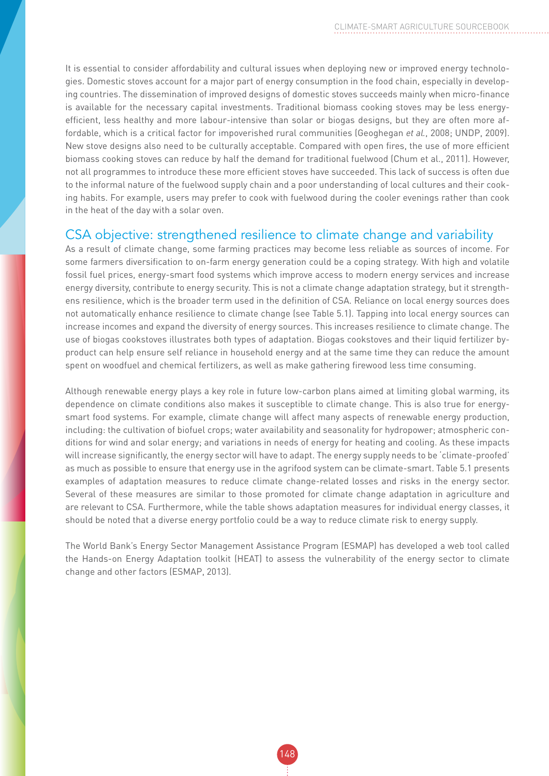It is essential to consider affordability and cultural issues when deploying new or improved energy technologies. Domestic stoves account for a major part of energy consumption in the food chain, especially in developing countries. The dissemination of improved designs of domestic stoves succeeds mainly when micro-finance is available for the necessary capital investments. Traditional biomass cooking stoves may be less energyefficient, less healthy and more labour-intensive than solar or biogas designs, but they are often more affordable, which is a critical factor for impoverished rural communities (Geoghegan *et al.*, 2008; UNDP, 2009). New stove designs also need to be culturally acceptable. Compared with open fires, the use of more efficient biomass cooking stoves can reduce by half the demand for traditional fuelwood (Chum et al., 2011). However, not all programmes to introduce these more efficient stoves have succeeded. This lack of success is often due to the informal nature of the fuelwood supply chain and a poor understanding of local cultures and their cooking habits. For example, users may prefer to cook with fuelwood during the cooler evenings rather than cook in the heat of the day with a solar oven.

### CSA objective: strengthened resilience to climate change and variability

As a result of climate change, some farming practices may become less reliable as sources of income. For some farmers diversification to on-farm energy generation could be a coping strategy. With high and volatile fossil fuel prices, energy-smart food systems which improve access to modern energy services and increase energy diversity, contribute to energy security. This is not a climate change adaptation strategy, but it strengthens resilience, which is the broader term used in the definition of CSA. Reliance on local energy sources does not automatically enhance resilience to climate change (see Table 5.1). Tapping into local energy sources can increase incomes and expand the diversity of energy sources. This increases resilience to climate change. The use of biogas cookstoves illustrates both types of adaptation. Biogas cookstoves and their liquid fertilizer byproduct can help ensure self reliance in household energy and at the same time they can reduce the amount spent on woodfuel and chemical fertilizers, as well as make gathering firewood less time consuming.

Although renewable energy plays a key role in future low-carbon plans aimed at limiting global warming, its dependence on climate conditions also makes it susceptible to climate change. This is also true for energysmart food systems. For example, climate change will affect many aspects of renewable energy production, including: the cultivation of biofuel crops; water availability and seasonality for hydropower; atmospheric conditions for wind and solar energy; and variations in needs of energy for heating and cooling. As these impacts will increase significantly, the energy sector will have to adapt. The energy supply needs to be 'climate-proofed' as much as possible to ensure that energy use in the agrifood system can be climate-smart. Table 5.1 presents examples of adaptation measures to reduce climate change-related losses and risks in the energy sector. Several of these measures are similar to those promoted for climate change adaptation in agriculture and are relevant to CSA. Furthermore, while the table shows adaptation measures for individual energy classes, it should be noted that a diverse energy portfolio could be a way to reduce climate risk to energy supply.

The World Bank's Energy Sector Management Assistance Program (ESMAP) has developed a web tool called the Hands-on Energy Adaptation toolkit (HEAT) to assess the vulnerability of the energy sector to climate change and other factors (ESMAP, 2013).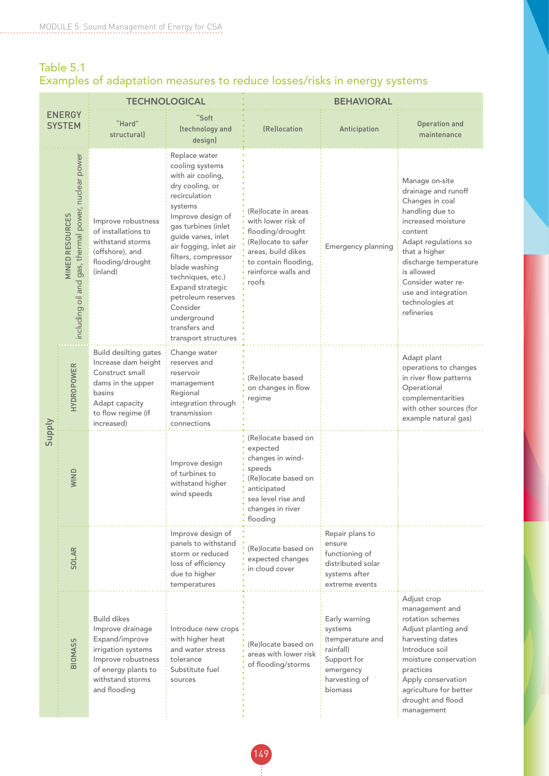### Table 5.1 Examples of adaptation measures to reduce losses/risks in energy systems

| <b>ENERGY</b><br><b>SYSTEM</b> |                                                                                  | <b>TECHNOLOGICAL</b>                                                                                                                                            |                                                                                                                                                                                                                                                                                                                                                                             | <b>BEHAVIORAL</b>                                                                                                                                                  |                                                                                                                   |                                                                                                                                                                                                                                                                            |  |
|--------------------------------|----------------------------------------------------------------------------------|-----------------------------------------------------------------------------------------------------------------------------------------------------------------|-----------------------------------------------------------------------------------------------------------------------------------------------------------------------------------------------------------------------------------------------------------------------------------------------------------------------------------------------------------------------------|--------------------------------------------------------------------------------------------------------------------------------------------------------------------|-------------------------------------------------------------------------------------------------------------------|----------------------------------------------------------------------------------------------------------------------------------------------------------------------------------------------------------------------------------------------------------------------------|--|
|                                |                                                                                  | "Hard"<br>structural)                                                                                                                                           | "Soft<br>(technology and<br>design)                                                                                                                                                                                                                                                                                                                                         | (Re)location                                                                                                                                                       | Anticipation                                                                                                      | <b>Operation and</b><br>maintenance                                                                                                                                                                                                                                        |  |
|                                | gas, thermal power, nuclear power<br><b>MINED RESOURCES</b><br>including oil and | Improve robustness<br>of installations to<br>withstand storms<br>(offshore), and<br>flooding/drought<br>(inland)                                                | Replace water<br>cooling systems<br>with air cooling,<br>dry cooling, or<br>recirculation<br>systems<br>Improve design of<br>gas turbines (inlet<br>guide vanes, inlet<br>air fogging, inlet air<br>filters, compressor<br>blade washing<br>techniques, etc.)<br>Expand strategic<br>petroleum reserves<br>Consider<br>underground<br>transfers and<br>transport structures | (Re)locate in areas<br>with lower risk of<br>flooding/drought<br>(Re)locate to safer<br>areas, build dikes<br>to contain flooding,<br>reinforce walls and<br>roofs | Emergency planning                                                                                                | Manage on-site<br>drainage and runoff<br>Changes in coal<br>handling due to<br>increased moisture<br>content<br>Adapt regulations so<br>that a higher<br>discharge temperature<br>is allowed<br>Consider water re-<br>use and integration<br>technologies at<br>refineries |  |
| Supply                         | <b>HYDROPOWER</b>                                                                | <b>Build desilting gates</b><br>Increase dam height<br>Construct small<br>dams in the upper<br>basins<br>Adapt capacity<br>to flow regime (if<br>increased)     | Change water<br>reserves and<br>reservoir<br>management<br>Regional<br>integration through<br>transmission<br>connections                                                                                                                                                                                                                                                   | (Re)locate based<br>on changes in flow<br>regime                                                                                                                   |                                                                                                                   | Adapt plant<br>operations to changes<br>in river flow patterns<br>Operational<br>complementarities<br>with other sources (for<br>example natural gas)                                                                                                                      |  |
|                                | <b>AIMMD</b>                                                                     |                                                                                                                                                                 | Improve design<br>of turbines to<br>withstand higher<br>wind speeds                                                                                                                                                                                                                                                                                                         | (Re)locate based on<br>expected<br>changes in wind-<br>speeds<br>(Re)locate based on<br>anticipated<br>sea level rise and<br>changes in river<br>· flooding        |                                                                                                                   |                                                                                                                                                                                                                                                                            |  |
|                                | <b>SOLAR</b>                                                                     |                                                                                                                                                                 | Improve design of<br>panels to withstand<br>storm or reduced<br>loss of efficiency<br>due to higher<br>temperatures                                                                                                                                                                                                                                                         | (Re)locate based on<br>expected changes<br>in cloud cover                                                                                                          | Repair plans to<br>ensure<br>functioning of<br>distributed solar<br>systems after<br>extreme events               |                                                                                                                                                                                                                                                                            |  |
|                                | <b>BIOMASS</b>                                                                   | <b>Build dikes</b><br>Improve drainage<br>Expand/improve<br>irrigation systems<br>Improve robustness<br>of energy plants to<br>withstand storms<br>and flooding | Introduce new crops<br>with higher heat<br>and water stress<br>tolerance<br>Substitute fuel<br>sources                                                                                                                                                                                                                                                                      | (Re)locate based on<br>areas with lower risk<br>of flooding/storms                                                                                                 | Early warning<br>systems<br>(temperature and<br>rainfall)<br>Support for<br>emergency<br>harvesting of<br>biomass | Adjust crop<br>management and<br>rotation schemes<br>Adjust planting and<br>harvesting dates<br>Introduce soil<br>moisture conservation<br>practices<br>Apply conservation<br>agriculture for better<br>drought and flood<br>management                                    |  |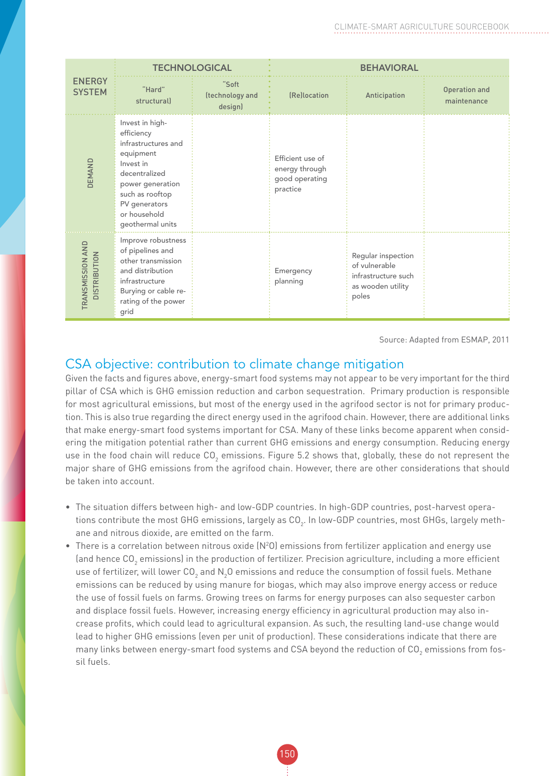|                                         | <b>TECHNOLOGICAL</b>                                                                                                                                                                        |                                     |                                                                  | <b>BEHAVIORAL</b>                                                                        |                                     |
|-----------------------------------------|---------------------------------------------------------------------------------------------------------------------------------------------------------------------------------------------|-------------------------------------|------------------------------------------------------------------|------------------------------------------------------------------------------------------|-------------------------------------|
| <b>ENERGY</b><br><b>SYSTEM</b>          | "Hard"<br>structural)                                                                                                                                                                       | "Soft<br>(technology and<br>design) | (Re)location                                                     | Anticipation                                                                             | <b>Operation and</b><br>maintenance |
| <b>JEMAND</b>                           | Invest in high-<br>efficiency<br>infrastructures and<br>equipment<br>Invest in<br>decentralized<br>power generation<br>such as rooftop<br>PV generators<br>or household<br>geothermal units |                                     | Efficient use of<br>energy through<br>good operating<br>practice |                                                                                          |                                     |
| TRANSMISSION AND<br><b>DISTRIBUTION</b> | Improve robustness<br>of pipelines and<br>other transmission<br>and distribution<br>infrastructure<br>Burying or cable re-<br>rating of the power<br>grid                                   |                                     | Emergency<br>planning                                            | Regular inspection<br>of vulnerable<br>infrastructure such<br>as wooden utility<br>poles |                                     |

Source: Adapted from ESMAP, 2011

### CSA objective: contribution to climate change mitigation

Given the facts and figures above, energy-smart food systems may not appear to be very important for the third pillar of CSA which is GHG emission reduction and carbon sequestration. Primary production is responsible for most agricultural emissions, but most of the energy used in the agrifood sector is not for primary production. This is also true regarding the direct energy used in the agrifood chain. However, there are additional links that make energy-smart food systems important for CSA. Many of these links become apparent when considering the mitigation potential rather than current GHG emissions and energy consumption. Reducing energy use in the food chain will reduce CO $_{_2}$  emissions. Figure 5.2 shows that, globally, these do not represent the major share of GHG emissions from the agrifood chain. However, there are other considerations that should be taken into account.

- The situation differs between high- and low-GDP countries. In high-GDP countries, post-harvest operations contribute the most GHG emissions, largely as CO $_{_2}$ . In low-GDP countries, most GHGs, largely methane and nitrous dioxide, are emitted on the farm.
- There is a correlation between nitrous oxide (N<sup>2</sup>O) emissions from fertilizer application and energy use (and hence CO $_{_2}$  emissions) in the production of fertilizer. Precision agriculture, including a more efficient use of fertilizer, will lower CO $_{\rm 2}$  and N $_{\rm 2}$ O emissions and reduce the consumption of fossil fuels. Methane emissions can be reduced by using manure for biogas, which may also improve energy access or reduce the use of fossil fuels on farms. Growing trees on farms for energy purposes can also sequester carbon and displace fossil fuels. However, increasing energy efficiency in agricultural production may also increase profits, which could lead to agricultural expansion. As such, the resulting land-use change would lead to higher GHG emissions (even per unit of production). These considerations indicate that there are many links between energy-smart food systems and CSA beyond the reduction of CO $_{_2}$  emissions from fossil fuels.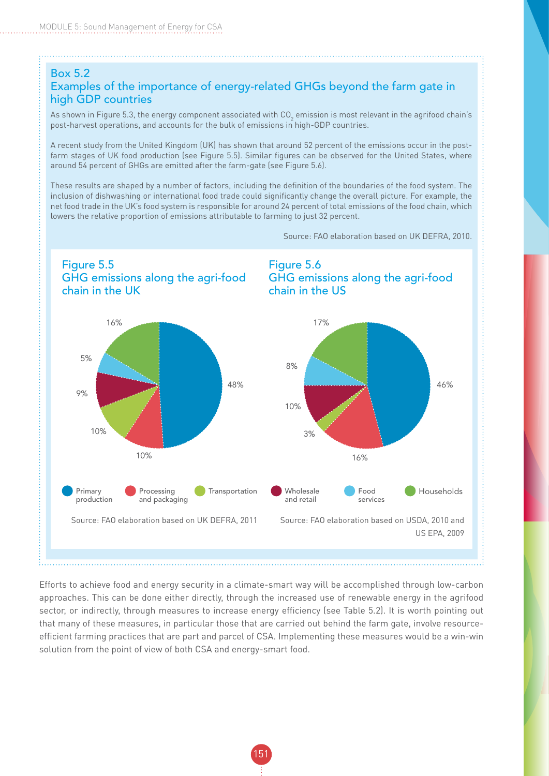#### Box 5.2 Examples of the importance of energy-related GHGs beyond the farm gate in high GDP countries

As shown in Figure 5.3, the energy component associated with CO $_2$  emission is most relevant in the agrifood chain's post-harvest operations, and accounts for the bulk of emissions in high-GDP countries.

A recent study from the United Kingdom (UK) has shown that around 52 percent of the emissions occur in the postfarm stages of UK food production (see Figure 5.5). Similar figures can be observed for the United States, where around 54 percent of GHGs are emitted after the farm-gate (see Figure 5.6).

These results are shaped by a number of factors, including the definition of the boundaries of the food system. The inclusion of dishwashing or international food trade could significantly change the overall picture. For example, the net food trade in the UK's food system is responsible for around 24 percent of total emissions of the food chain, which lowers the relative proportion of emissions attributable to farming to just 32 percent.

Source: FAO elaboration based on UK DEFRA, 2010.



Efforts to achieve food and energy security in a climate-smart way will be accomplished through low-carbon approaches. This can be done either directly, through the increased use of renewable energy in the agrifood sector, or indirectly, through measures to increase energy efficiency (see Table 5.2). It is worth pointing out that many of these measures, in particular those that are carried out behind the farm gate, involve resourceefficient farming practices that are part and parcel of CSA. Implementing these measures would be a win-win solution from the point of view of both CSA and energy-smart food.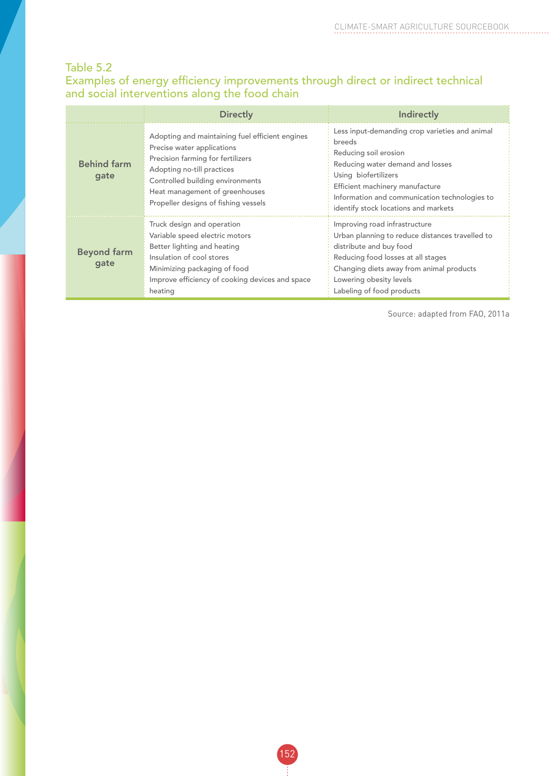#### Table 5.2

Examples of energy efficiency improvements through direct or indirect technical and social interventions along the food chain

|                            | <b>Directly</b>                                                                                                                                                                                                                                                | Indirectly                                                                                                                                                                                                                                                                |
|----------------------------|----------------------------------------------------------------------------------------------------------------------------------------------------------------------------------------------------------------------------------------------------------------|---------------------------------------------------------------------------------------------------------------------------------------------------------------------------------------------------------------------------------------------------------------------------|
| <b>Behind farm</b><br>gate | Adopting and maintaining fuel efficient engines<br>Precise water applications<br>Precision farming for fertilizers<br>Adopting no-till practices<br>Controlled building environments<br>Heat management of greenhouses<br>Propeller designs of fishing vessels | Less input-demanding crop varieties and animal<br>breeds<br>Reducing soil erosion<br>Reducing water demand and losses<br>Using biofertilizers<br>Efficient machinery manufacture<br>Information and communication technologies to<br>identify stock locations and markets |
| <b>Beyond farm</b><br>gate | Truck design and operation<br>Variable speed electric motors<br>Better lighting and heating<br>Insulation of cool stores<br>Minimizing packaging of food<br>Improve efficiency of cooking devices and space<br>heating                                         | Improving road infrastructure<br>Urban planning to reduce distances travelled to<br>distribute and buy food<br>Reducing food losses at all stages<br>Changing diets away from animal products<br>Lowering obesity levels<br>Labeling of food products                     |

Source: adapted from FAO, 2011a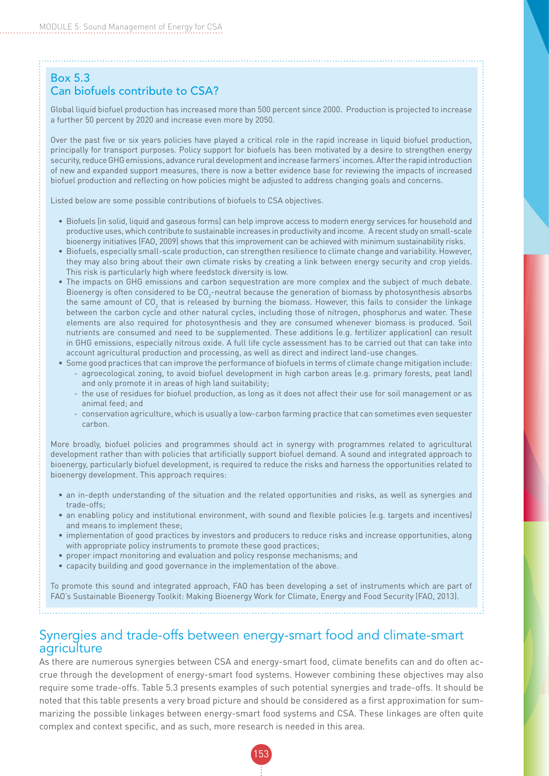#### Box 5.3 Can biofuels contribute to CSA?

Global liquid biofuel production has increased more than 500 percent since 2000. Production is projected to increase a further 50 percent by 2020 and increase even more by 2050.

Over the past five or six years policies have played a critical role in the rapid increase in liquid biofuel production, principally for transport purposes. Policy support for biofuels has been motivated by a desire to strengthen energy security, reduce GHG emissions, advance rural development and increase farmers' incomes. After the rapid introduction of new and expanded support measures, there is now a better evidence base for reviewing the impacts of increased biofuel production and reflecting on how policies might be adjusted to address changing goals and concerns.

Listed below are some possible contributions of biofuels to CSA objectives.

- • Biofuels (in solid, liquid and gaseous forms) can help improve access to modern energy services for household and productive uses, which contribute to sustainable increases in productivity and income. A recent study on small-scale bioenergy initiatives (FAO, 2009) shows that this improvement can be achieved with minimum sustainability risks.
- • Biofuels, especially small-scale production, can strengthen resilience to climate change and variability. However, they may also bring about their own climate risks by creating a link between energy security and crop yields. This risk is particularly high where feedstock diversity is low.
- The impacts on GHG emissions and carbon sequestration are more complex and the subject of much debate. Bioenergy is often considered to be CO<sub>2</sub>-neutral because the generation of biomass by photosynthesis absorbs the same amount of CO<sub>2</sub> that is released by burning the biomass. However, this fails to consider the linkage between the carbon cycle and other natural cycles, including those of nitrogen, phosphorus and water. These elements are also required for photosynthesis and they are consumed whenever biomass is produced. Soil nutrients are consumed and need to be supplemented. These additions (e.g. fertilizer application) can result in GHG emissions, especially nitrous oxide. A full life cycle assessment has to be carried out that can take into account agricultural production and processing, as well as direct and indirect land-use changes.
- • Some good practices that can improve the performance of biofuels in terms of climate change mitigation include:
	- agroecological zoning, to avoid biofuel development in high carbon areas (e.g. primary forests, peat land) and only promote it in areas of high land suitability;
		- the use of residues for biofuel production, as long as it does not affect their use for soil management or as animal feed; and
	- conservation agriculture, which is usually a low-carbon farming practice that can sometimes even sequester carbon.

More broadly, biofuel policies and programmes should act in synergy with programmes related to agricultural development rather than with policies that artificially support biofuel demand. A sound and integrated approach to bioenergy, particularly biofuel development, is required to reduce the risks and harness the opportunities related to bioenergy development. This approach requires:

- • an in-depth understanding of the situation and the related opportunities and risks, as well as synergies and trade-offs;
- • an enabling policy and institutional environment, with sound and flexible policies (e.g. targets and incentives) and means to implement these;
- • implementation of good practices by investors and producers to reduce risks and increase opportunities, along with appropriate policy instruments to promote these good practices;
- • proper impact monitoring and evaluation and policy response mechanisms; and
- capacity building and good governance in the implementation of the above.

To promote this sound and integrated approach, FAO has been developing a set of instruments which are part of FAO's Sustainable Bioenergy Toolkit: Making Bioenergy Work for Climate, Energy and Food Security (FAO, 2013).

### Synergies and trade-offs between energy-smart food and climate-smart agriculture

As there are numerous synergies between CSA and energy-smart food, climate benefits can and do often accrue through the development of energy-smart food systems. However combining these objectives may also require some trade-offs. Table 5.3 presents examples of such potential synergies and trade-offs. It should be noted that this table presents a very broad picture and should be considered as a first approximation for summarizing the possible linkages between energy-smart food systems and CSA. These linkages are often quite complex and context specific, and as such, more research is needed in this area.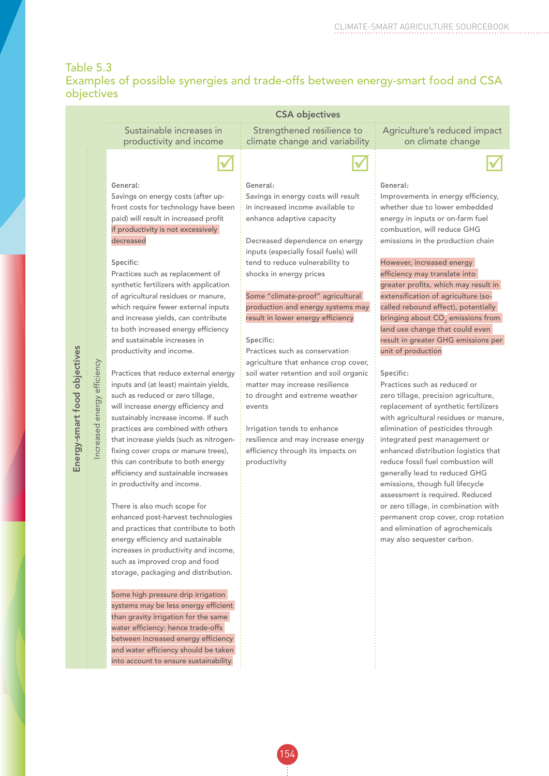### Table 5.3 Examples of possible synergies and trade-offs between energy-smart food and CSA objectives

|                                                                                                                                                                                                                                                                                                                                                                                                                                                                                                                                                                                                                                                                                                                                                                                                                                                                                                                                                                                                                                                                                                         | <b>CSA</b> objectives                                                                                                                                                                                                                                                                                                                                                                                                                                                                                                                                      |                                                                                                                                                                                                                                                                                                                                                                                                                                                                                                                                                                                                                                                                                                                                                                                                                                                                                                                      |
|---------------------------------------------------------------------------------------------------------------------------------------------------------------------------------------------------------------------------------------------------------------------------------------------------------------------------------------------------------------------------------------------------------------------------------------------------------------------------------------------------------------------------------------------------------------------------------------------------------------------------------------------------------------------------------------------------------------------------------------------------------------------------------------------------------------------------------------------------------------------------------------------------------------------------------------------------------------------------------------------------------------------------------------------------------------------------------------------------------|------------------------------------------------------------------------------------------------------------------------------------------------------------------------------------------------------------------------------------------------------------------------------------------------------------------------------------------------------------------------------------------------------------------------------------------------------------------------------------------------------------------------------------------------------------|----------------------------------------------------------------------------------------------------------------------------------------------------------------------------------------------------------------------------------------------------------------------------------------------------------------------------------------------------------------------------------------------------------------------------------------------------------------------------------------------------------------------------------------------------------------------------------------------------------------------------------------------------------------------------------------------------------------------------------------------------------------------------------------------------------------------------------------------------------------------------------------------------------------------|
| Sustainable increases in<br>productivity and income                                                                                                                                                                                                                                                                                                                                                                                                                                                                                                                                                                                                                                                                                                                                                                                                                                                                                                                                                                                                                                                     | Strengthened resilience to<br>climate change and variability                                                                                                                                                                                                                                                                                                                                                                                                                                                                                               | Agriculture's reduced impact<br>on climate change                                                                                                                                                                                                                                                                                                                                                                                                                                                                                                                                                                                                                                                                                                                                                                                                                                                                    |
| General:<br>Savings on energy costs (after up-<br>front costs for technology have been<br>paid) will result in increased profit<br>if productivity is not excessively<br>decreased                                                                                                                                                                                                                                                                                                                                                                                                                                                                                                                                                                                                                                                                                                                                                                                                                                                                                                                      | General:<br>Savings in energy costs will result<br>in increased income available to<br>enhance adaptive capacity<br>Decreased dependence on energy                                                                                                                                                                                                                                                                                                                                                                                                         | General:<br>Improvements in energy efficiency,<br>whether due to lower embedded<br>energy in inputs or on-farm fuel<br>combustion, will reduce GHG<br>emissions in the production chain                                                                                                                                                                                                                                                                                                                                                                                                                                                                                                                                                                                                                                                                                                                              |
| Specific:<br>Practices such as replacement of<br>synthetic fertilizers with application<br>of agricultural residues or manure,<br>which require fewer external inputs<br>and increase yields, can contribute<br>to both increased energy efficiency<br>and sustainable increases in<br>productivity and income.<br>Increased energy efficiency<br>Practices that reduce external energy<br>inputs and (at least) maintain yields,<br>such as reduced or zero tillage,<br>will increase energy efficiency and<br>sustainably increase income. If such<br>practices are combined with others<br>that increase yields (such as nitrogen-<br>fixing cover crops or manure trees),<br>this can contribute to both energy<br>efficiency and sustainable increases<br>in productivity and income.<br>There is also much scope for<br>enhanced post-harvest technologies<br>and practices that contribute to both<br>energy efficiency and sustainable<br>increases in productivity and income,<br>such as improved crop and food<br>storage, packaging and distribution.<br>Some high pressure drip irrigation | inputs (especially fossil fuels) will<br>tend to reduce vulnerability to<br>shocks in energy prices<br>Some "climate-proof" agricultural<br>production and energy systems may<br>result in lower energy efficiency<br>Specific:<br>Practices such as conservation<br>agriculture that enhance crop cover,<br>soil water retention and soil organic<br>matter may increase resilience<br>to drought and extreme weather<br>events<br>Irrigation tends to enhance<br>resilience and may increase energy<br>efficiency through its impacts on<br>productivity | However, increased energy<br>efficiency may translate into<br>greater profits, which may result in<br>extensification of agriculture (so-<br>called rebound effect), potentially<br>bringing about CO <sub>2</sub> emissions from<br>land use change that could even<br>result in greater GHG emissions per<br>unit of production<br>Specific:<br>Practices such as reduced or<br>zero tillage, precision agriculture,<br>replacement of synthetic fertilizers<br>with agricultural residues or manure,<br>elimination of pesticides through<br>integrated pest management or<br>enhanced distribution logistics that<br>reduce fossil fuel combustion will<br>generally lead to reduced GHG<br>emissions, though full lifecycle<br>assessment is required. Reduced<br>or zero tillage, in combination with<br>permanent crop cover, crop rotation<br>and elimination of agrochemicals<br>may also sequester carbon. |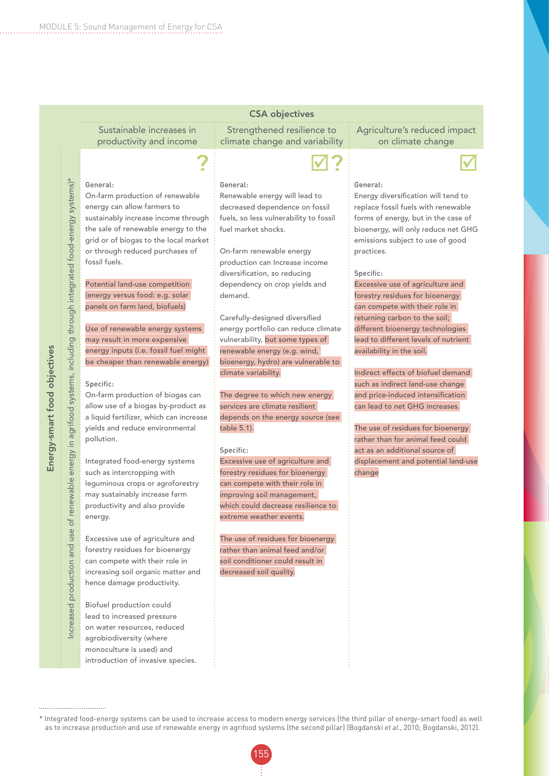#### Sustainable increases in productivity and income

#### General:

food-energy systems)\*

On-farm production of renewable energy can allow farmers to sustainably increase income through the sale of renewable energy to the grid or of biogas to the local market or through reduced purchases of fossil fuels.

#### Potential land-use competition (energy versus food: e.g. solar panels on farm land, biofuels)

Use of renewable energy systems may result in more expensive energy inputs (i.e. fossil fuel might be cheaper than renewable energy)

#### Specific:

On-farm production of biogas can allow use of a biogas by-product as a liquid fertilizer, which can increase yields and reduce environmental pollution.

Integrated food-energy systems such as intercropping with leguminous crops or agroforestry may sustainably increase farm productivity and also provide energy.

Excessive use of agriculture and forestry residues for bioenergy can compete with their role in increasing soil organic matter and hence damage productivity.

Biofuel production could lead to increased pressure on water resources, reduced agrobiodiversity (where monoculture is used) and introduction of invasive species.

#### CSA objectives Strengthened resilience to

climate change and variability þ?

### General:

?

Renewable energy will lead to decreased dependence on fossil fuels, so less vulnerability to fossil fuel market shocks.

On-farm renewable energy production can Increase income diversification, so reducing dependency on crop yields and demand.

Carefully-designed diversified energy portfolio can reduce climate vulnerability, but some types of renewable energy (e.g. wind, bioenergy, hydro) are vulnerable to climate variability.

The degree to which new energy services are climate resilient depends on the energy source (see table 5.1).

#### Specific:

Excessive use of agriculture and forestry residues for bioenergy can compete with their role in improving soil management, which could decrease resilience to extreme weather events.

The use of residues for bioenergy rather than animal feed and/or soil conditioner could result in decreased soil quality.

#### Agriculture's reduced impact on climate change



#### General:

Energy diversification will tend to replace fossil fuels with renewable forms of energy, but in the case of bioenergy, will only reduce net GHG emissions subject to use of good practices.

#### Specific:

Excessive use of agriculture and forestry residues for bioenergy can compete with their role in returning carbon to the soil; different bioenergy technologies lead to different levels of nutrient availability in the soil.

Indirect effects of biofuel demand such as indirect land-use change and price-induced intensification can lead to net GHG increases.

The use of residues for bioenergy rather than for animal feed could act as an additional source of displacement and potential land-use change

\* Integrated food-energy systems can be used to increase access to modern energy services (the third pillar of energy-smart food) as well as to increase production and use of renewable energy in agrifood systems (the second pillar) (Bogdanski *et al*., 2010; Bogdanski, 2012).

155

Energy-smart food objectives Energy-smart food objectives Increased production and use of renewable energy in agrifood systems, including through integrated food-energy systems)\*

use of renewable

production and

ncreased

energy in agrifood systems, including through integrated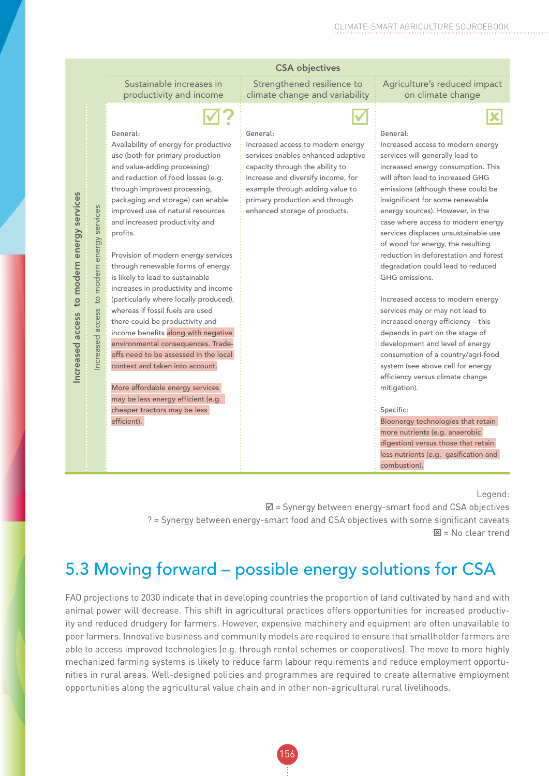

#### Legend:

 $\boxtimes$  = Synergy between energy-smart food and CSA objectives ? = Synergy between energy-smart food and CSA objectives with some significant caveats  $\overline{x}$  = No clear trend

## 5.3 Moving forward – possible energy solutions for CSA

FAO projections to 2030 indicate that in developing countries the proportion of land cultivated by hand and with animal power will decrease. This shift in agricultural practices offers opportunities for increased productivity and reduced drudgery for farmers. However, expensive machinery and equipment are often unavailable to poor farmers. Innovative business and community models are required to ensure that smallholder farmers are able to access improved technologies (e.g. through rental schemes or cooperatives). The move to more highly mechanized farming systems is likely to reduce farm labour requirements and reduce employment opportunities in rural areas. Well-designed policies and programmes are required to create alternative employment opportunities along the agricultural value chain and in other non-agricultural rural livelihoods.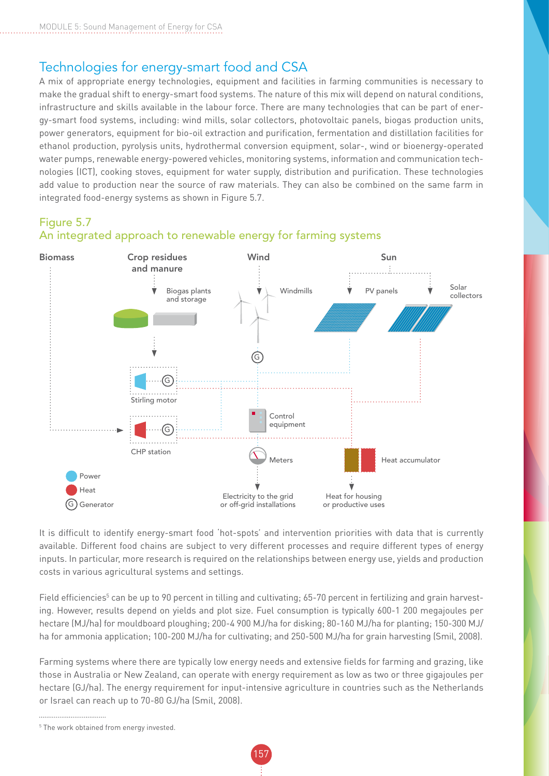### Technologies for energy-smart food and CSA

A mix of appropriate energy technologies, equipment and facilities in farming communities is necessary to make the gradual shift to energy-smart food systems. The nature of this mix will depend on natural conditions, infrastructure and skills available in the labour force. There are many technologies that can be part of energy-smart food systems, including: wind mills, solar collectors, photovoltaic panels, biogas production units, power generators, equipment for bio-oil extraction and purification, fermentation and distillation facilities for ethanol production, pyrolysis units, hydrothermal conversion equipment, solar-, wind or bioenergy-operated water pumps, renewable energy-powered vehicles, monitoring systems, information and communication technologies (ICT), cooking stoves, equipment for water supply, distribution and purification. These technologies add value to production near the source of raw materials. They can also be combined on the same farm in integrated food-energy systems as shown in Figure 5.7.





#### An integrated approach to renewable energy for farming systems

It is difficult to identify energy-smart food 'hot-spots' and intervention priorities with data that is currently available. Different food chains are subject to very different processes and require different types of energy inputs. In particular, more research is required on the relationships between energy use, yields and production costs in various agricultural systems and settings.

Field efficiencies<sup>5</sup> can be up to 90 percent in tilling and cultivating; 65-70 percent in fertilizing and grain harvesting. However, results depend on yields and plot size. Fuel consumption is typically 600-1 200 megajoules per hectare (MJ/ha) for mouldboard ploughing; 200-4 900 MJ/ha for disking; 80-160 MJ/ha for planting; 150-300 MJ/ ha for ammonia application; 100-200 MJ/ha for cultivating; and 250-500 MJ/ha for grain harvesting (Smil, 2008).

Farming systems where there are typically low energy needs and extensive fields for farming and grazing, like those in Australia or New Zealand, can operate with energy requirement as low as two or three gigajoules per hectare (GJ/ha). The energy requirement for input-intensive agriculture in countries such as the Netherlands or Israel can reach up to 70-80 GJ/ha (Smil, 2008).

<sup>&</sup>lt;sup>5</sup> The work obtained from energy invested.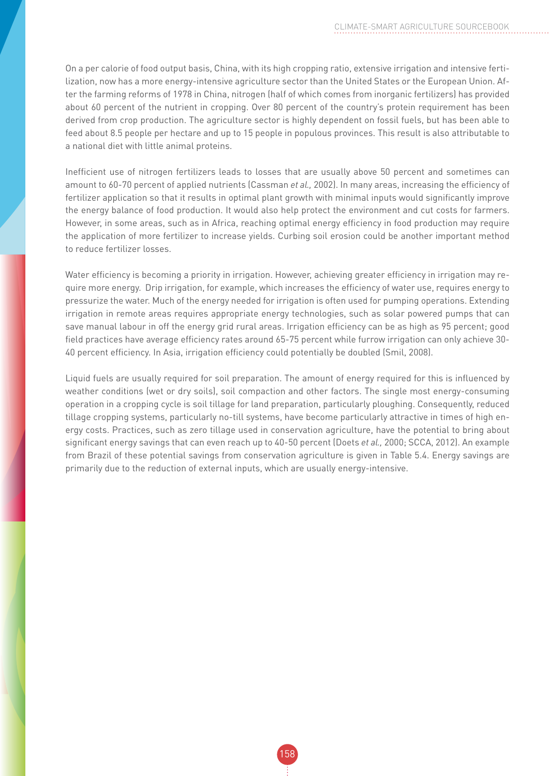On a per calorie of food output basis, China, with its high cropping ratio, extensive irrigation and intensive fertilization, now has a more energy-intensive agriculture sector than the United States or the European Union. After the farming reforms of 1978 in China, nitrogen (half of which comes from inorganic fertilizers) has provided about 60 percent of the nutrient in cropping. Over 80 percent of the country's protein requirement has been derived from crop production. The agriculture sector is highly dependent on fossil fuels, but has been able to feed about 8.5 people per hectare and up to 15 people in populous provinces. This result is also attributable to a national diet with little animal proteins.

Inefficient use of nitrogen fertilizers leads to losses that are usually above 50 percent and sometimes can amount to 60-70 percent of applied nutrients (Cassman *et al.,* 2002). In many areas, increasing the efficiency of fertilizer application so that it results in optimal plant growth with minimal inputs would significantly improve the energy balance of food production. It would also help protect the environment and cut costs for farmers. However, in some areas, such as in Africa, reaching optimal energy efficiency in food production may require the application of more fertilizer to increase yields. Curbing soil erosion could be another important method to reduce fertilizer losses.

Water efficiency is becoming a priority in irrigation. However, achieving greater efficiency in irrigation may require more energy. Drip irrigation, for example, which increases the efficiency of water use, requires energy to pressurize the water. Much of the energy needed for irrigation is often used for pumping operations. Extending irrigation in remote areas requires appropriate energy technologies, such as solar powered pumps that can save manual labour in off the energy grid rural areas. Irrigation efficiency can be as high as 95 percent; good field practices have average efficiency rates around 65-75 percent while furrow irrigation can only achieve 30- 40 percent efficiency. In Asia, irrigation efficiency could potentially be doubled (Smil, 2008).

Liquid fuels are usually required for soil preparation. The amount of energy required for this is influenced by weather conditions (wet or dry soils), soil compaction and other factors. The single most energy-consuming operation in a cropping cycle is soil tillage for land preparation, particularly ploughing. Consequently, reduced tillage cropping systems, particularly no-till systems, have become particularly attractive in times of high energy costs. Practices, such as zero tillage used in conservation agriculture, have the potential to bring about significant energy savings that can even reach up to 40-50 percent (Doets *et al.,* 2000; SCCA, 2012). An example from Brazil of these potential savings from conservation agriculture is given in Table 5.4. Energy savings are primarily due to the reduction of external inputs, which are usually energy-intensive.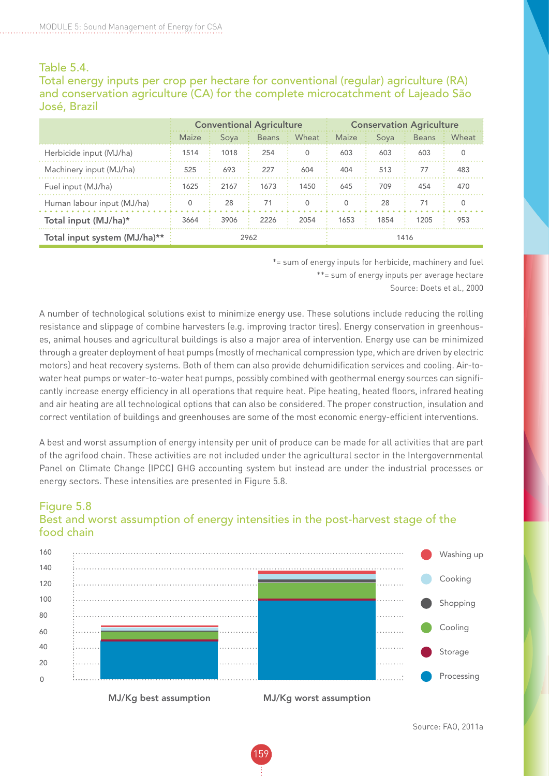#### $Table 5.4$

Total energy inputs per crop per hectare for conventional (regular) agriculture (RA) and conservation agriculture (CA) for the complete microcatchment of Lajeado São José, Brazil

|                              | <b>Conventional Agriculture</b> |      |      |                 |          |      | <b>Conservation Agriculture</b> |       |
|------------------------------|---------------------------------|------|------|-----------------|----------|------|---------------------------------|-------|
|                              | Maize                           | Soya |      | Beans : Wheat : | Maize    | Soya | <b>Beans</b>                    | Wheat |
| Herbicide input (MJ/ha)      | 1514                            | 1018 | 254  | $\Omega$        | 603      | 603  | 603                             | O     |
| Machinery input (MJ/ha)      | 525                             | 693  | 227  | 604             | 404      | 513  | 77                              | 483   |
| Fuel input (MJ/ha)           | 1625                            | 2167 | 1673 | 1450            | 645      | 709  | 454                             | 470   |
| Human labour input (MJ/ha)   | $\Omega$                        | 28   | 71   | $\Omega$        | $\Omega$ | 28   | 71                              |       |
| Total input (MJ/ha)*         | 3664                            | 3906 | 2226 | 2054            | 1653     | 1854 | 1205                            | 953   |
| Total input system (MJ/ha)** |                                 |      | 2962 |                 |          |      | 1416                            |       |

\*= sum of energy inputs for herbicide, machinery and fuel

\*\*= sum of energy inputs per average hectare

Source: Doets et al., 2000

A number of technological solutions exist to minimize energy use. These solutions include reducing the rolling resistance and slippage of combine harvesters (e.g. improving tractor tires). Energy conservation in greenhouses, animal houses and agricultural buildings is also a major area of intervention. Energy use can be minimized through a greater deployment of heat pumps (mostly of mechanical compression type, which are driven by electric motors) and heat recovery systems. Both of them can also provide dehumidification services and cooling. Air-towater heat pumps or water-to-water heat pumps, possibly combined with geothermal energy sources can significantly increase energy efficiency in all operations that require heat. Pipe heating, heated floors, infrared heating and air heating are all technological options that can also be considered. The proper construction, insulation and correct ventilation of buildings and greenhouses are some of the most economic energy-efficient interventions.

A best and worst assumption of energy intensity per unit of produce can be made for all activities that are part of the agrifood chain. These activities are not included under the agricultural sector in the Intergovernmental Panel on Climate Change (IPCC) GHG accounting system but instead are under the industrial processes or energy sectors. These intensities are presented in Figure 5.8.

#### Figure 5.8 Best and worst assumption of energy intensities in the post-harvest stage of the food chain



159

MJ/Kg best assumption MJ/Kg worst assumption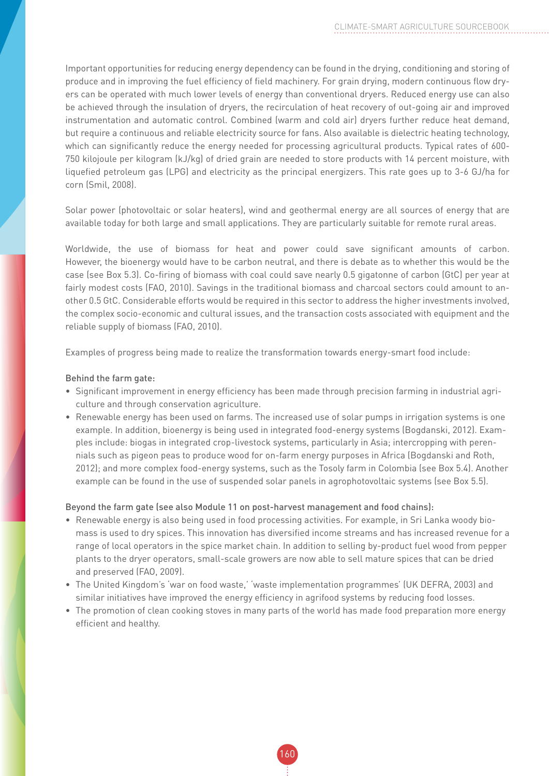Important opportunities for reducing energy dependency can be found in the drying, conditioning and storing of produce and in improving the fuel efficiency of field machinery. For grain drying, modern continuous flow dryers can be operated with much lower levels of energy than conventional dryers. Reduced energy use can also be achieved through the insulation of dryers, the recirculation of heat recovery of out-going air and improved instrumentation and automatic control. Combined (warm and cold air) dryers further reduce heat demand, but require a continuous and reliable electricity source for fans. Also available is dielectric heating technology, which can significantly reduce the energy needed for processing agricultural products. Typical rates of 600- 750 kilojoule per kilogram (kJ/kg) of dried grain are needed to store products with 14 percent moisture, with liquefied petroleum gas (LPG) and electricity as the principal energizers. This rate goes up to 3-6 GJ/ha for corn (Smil, 2008).

Solar power (photovoltaic or solar heaters), wind and geothermal energy are all sources of energy that are available today for both large and small applications. They are particularly suitable for remote rural areas.

Worldwide, the use of biomass for heat and power could save significant amounts of carbon. However, the bioenergy would have to be carbon neutral, and there is debate as to whether this would be the case (see Box 5.3). Co-firing of biomass with coal could save nearly 0.5 gigatonne of carbon (GtC) per year at fairly modest costs (FAO, 2010). Savings in the traditional biomass and charcoal sectors could amount to another 0.5 GtC. Considerable efforts would be required in this sector to address the higher investments involved, the complex socio-economic and cultural issues, and the transaction costs associated with equipment and the reliable supply of biomass (FAO, 2010).

Examples of progress being made to realize the transformation towards energy-smart food include:

#### Behind the farm gate:

- • Significant improvement in energy efficiency has been made through precision farming in industrial agriculture and through conservation agriculture.
- • Renewable energy has been used on farms. The increased use of solar pumps in irrigation systems is one example. In addition, bioenergy is being used in integrated food-energy systems (Bogdanski, 2012). Examples include: biogas in integrated crop-livestock systems, particularly in Asia; intercropping with perennials such as pigeon peas to produce wood for on-farm energy purposes in Africa (Bogdanski and Roth, 2012); and more complex food-energy systems, such as the Tosoly farm in Colombia (see Box 5.4). Another example can be found in the use of suspended solar panels in agrophotovoltaic systems (see Box 5.5).

#### Beyond the farm gate (see also Module 11 on post-harvest management and food chains):

- Renewable energy is also being used in food processing activities. For example, in Sri Lanka woody biomass is used to dry spices. This innovation has diversified income streams and has increased revenue for a range of local operators in the spice market chain. In addition to selling by-product fuel wood from pepper plants to the dryer operators, small-scale growers are now able to sell mature spices that can be dried and preserved (FAO, 2009).
- • The United Kingdom's 'war on food waste,' 'waste implementation programmes' (UK DEFRA, 2003) and similar initiatives have improved the energy efficiency in agrifood systems by reducing food losses.
- The promotion of clean cooking stoves in many parts of the world has made food preparation more energy efficient and healthy.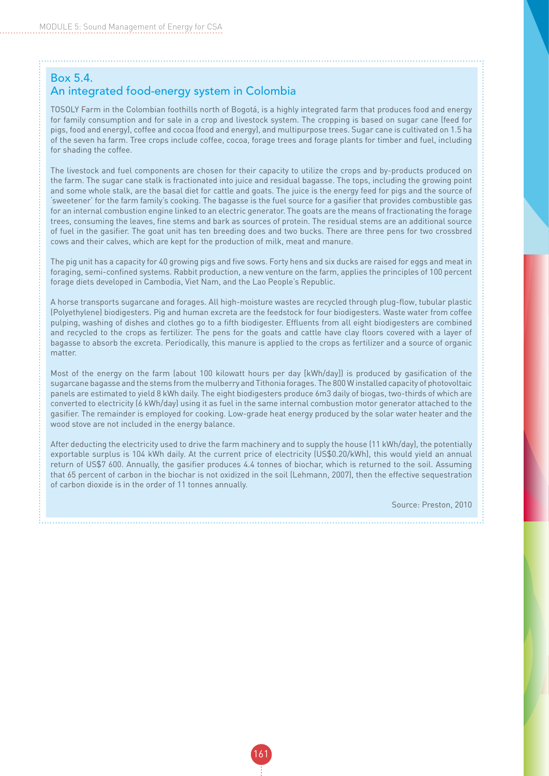#### Box 5.4.

### An integrated food-energy system in Colombia

TOSOLY Farm in the Colombian foothills north of Bogotá, is a highly integrated farm that produces food and energy for family consumption and for sale in a crop and livestock system. The cropping is based on sugar cane (feed for pigs, food and energy), coffee and cocoa (food and energy), and multipurpose trees. Sugar cane is cultivated on 1.5 ha of the seven ha farm. Tree crops include coffee, cocoa, forage trees and forage plants for timber and fuel, including for shading the coffee.

The livestock and fuel components are chosen for their capacity to utilize the crops and by-products produced on the farm. The sugar cane stalk is fractionated into juice and residual bagasse. The tops, including the growing point and some whole stalk, are the basal diet for cattle and goats. The juice is the energy feed for pigs and the source of 'sweetener' for the farm family's cooking. The bagasse is the fuel source for a gasifier that provides combustible gas for an internal combustion engine linked to an electric generator. The goats are the means of fractionating the forage trees, consuming the leaves, fine stems and bark as sources of protein. The residual stems are an additional source of fuel in the gasifier. The goat unit has ten breeding does and two bucks. There are three pens for two crossbred cows and their calves, which are kept for the production of milk, meat and manure.

The pig unit has a capacity for 40 growing pigs and five sows. Forty hens and six ducks are raised for eggs and meat in foraging, semi-confined systems. Rabbit production, a new venture on the farm, applies the principles of 100 percent forage diets developed in Cambodia, Viet Nam, and the Lao People's Republic.

A horse transports sugarcane and forages. All high-moisture wastes are recycled through plug-flow, tubular plastic (Polyethylene) biodigesters. Pig and human excreta are the feedstock for four biodigesters. Waste water from coffee pulping, washing of dishes and clothes go to a fifth biodigester. Effluents from all eight biodigesters are combined and recycled to the crops as fertilizer. The pens for the goats and cattle have clay floors covered with a layer of bagasse to absorb the excreta. Periodically, this manure is applied to the crops as fertilizer and a source of organic matter.

Most of the energy on the farm (about 100 kilowatt hours per day [kWh/day]) is produced by gasification of the sugarcane bagasse and the stems from the mulberry and Tithonia forages. The 800 W installed capacity of photovoltaic panels are estimated to yield 8 kWh daily. The eight biodigesters produce 6m3 daily of biogas, two-thirds of which are converted to electricity (6 kWh/day) using it as fuel in the same internal combustion motor generator attached to the gasifier. The remainder is employed for cooking. Low-grade heat energy produced by the solar water heater and the wood stove are not included in the energy balance.

After deducting the electricity used to drive the farm machinery and to supply the house (11 kWh/day), the potentially exportable surplus is 104 kWh daily. At the current price of electricity (US\$0.20/kWh), this would yield an annual return of US\$7 600. Annually, the gasifier produces 4.4 tonnes of biochar, which is returned to the soil. Assuming that 65 percent of carbon in the biochar is not oxidized in the soil (Lehmann, 2007), then the effective sequestration of carbon dioxide is in the order of 11 tonnes annually.

Source: Preston, 2010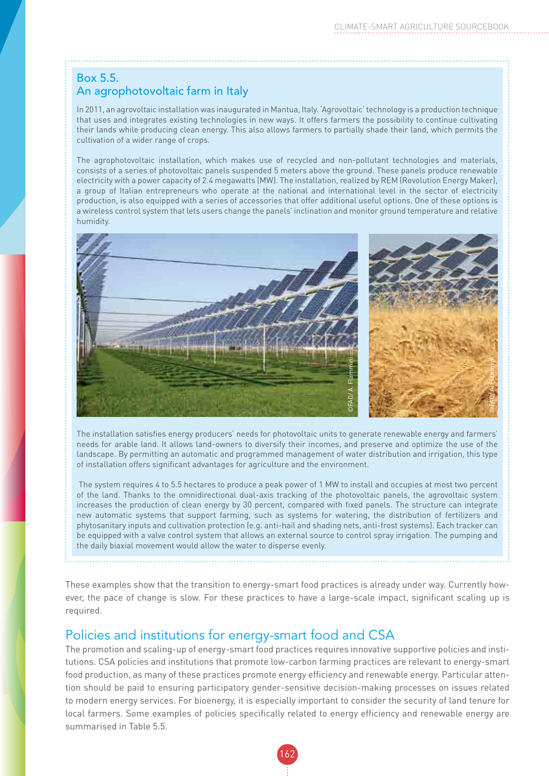#### Box 5.5. An agrophotovoltaic farm in Italy

In 2011, an agrovoltaic installation was inaugurated in Mantua, Italy. 'Agrovoltaic' technology is a production technique that uses and integrates existing technologies in new ways. It offers farmers the possibility to continue cultivating their lands while producing clean energy. This also allows farmers to partially shade their land, which permits the cultivation of a wider range of crops.

The agrophotovoltaic installation, which makes use of recycled and non-pollutant technologies and materials, consists of a series of photovoltaic panels suspended 5 meters above the ground. These panels produce renewable electricity with a power capacity of 2.4 megawatts (MW). The installation, realized by REM (Revolution Energy Maker), a group of Italian entrepreneurs who operate at the national and international level in the sector of electricity production, is also equipped with a series of accessories that offer additional useful options. One of these options is a wireless control system that lets users change the panels' inclination and monitor ground temperature and relative humidity.



The installation satisfies energy producers' needs for photovoltaic units to generate renewable energy and farmers' needs for arable land. It allows land-owners to diversify their incomes, and preserve and optimize the use of the landscape. By permitting an automatic and programmed management of water distribution and irrigation, this type of installation offers significant advantages for agriculture and the environment.

 The system requires 4 to 5.5 hectares to produce a peak power of 1 MW to install and occupies at most two percent of the land. Thanks to the omnidirectional dual-axis tracking of the photovoltaic panels, the agrovoltaic system increases the production of clean energy by 30 percent, compared with fixed panels. The structure can integrate new automatic systems that support farming, such as systems for watering, the distribution of fertilizers and phytosanitary inputs and cultivation protection (e.g. anti-hail and shading nets, anti-frost systems). Each tracker can be equipped with a valve control system that allows an external source to control spray irrigation. The pumping and the daily biaxial movement would allow the water to disperse evenly.

These examples show that the transition to energy-smart food practices is already under way. Currently however, the pace of change is slow. For these practices to have a large-scale impact, significant scaling up is required.

### Policies and institutions for energy-smart food and CSA

The promotion and scaling-up of energy-smart food practices requires innovative supportive policies and institutions. CSA policies and institutions that promote low-carbon farming practices are relevant to energy-smart food production, as many of these practices promote energy efficiency and renewable energy. Particular attention should be paid to ensuring participatory gender-sensitive decision-making processes on issues related to modern energy services. For bioenergy, it is especially important to consider the security of land tenure for local farmers. Some examples of policies specifically related to energy efficiency and renewable energy are summarised in Table 5.5.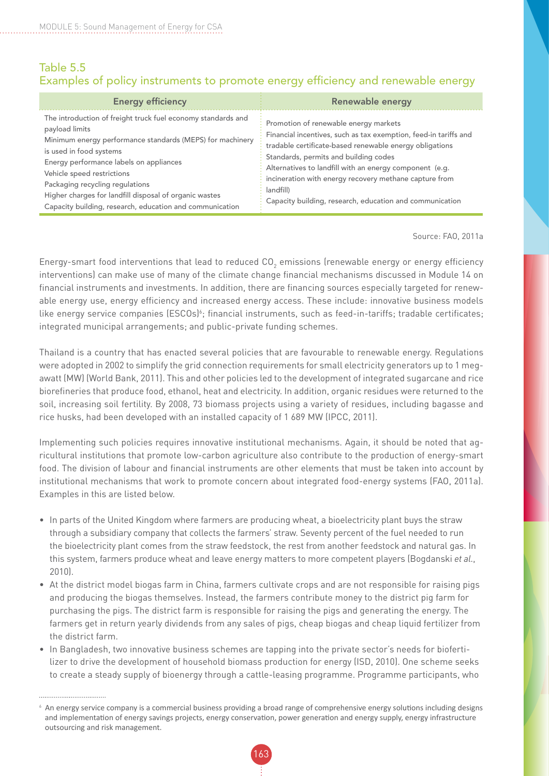#### Table 5.5 Examples of policy instruments to promote energy efficiency and renewable energy

| <b>Energy efficiency</b>                                                                                                                                                                                                                                                                                                                                                                                 | <b>Renewable energy</b>                                                                                                                                                                                                                                                                                                                                                                                                     |
|----------------------------------------------------------------------------------------------------------------------------------------------------------------------------------------------------------------------------------------------------------------------------------------------------------------------------------------------------------------------------------------------------------|-----------------------------------------------------------------------------------------------------------------------------------------------------------------------------------------------------------------------------------------------------------------------------------------------------------------------------------------------------------------------------------------------------------------------------|
| The introduction of freight truck fuel economy standards and<br>payload limits<br>Minimum energy performance standards (MEPS) for machinery<br>is used in food systems<br>Energy performance labels on appliances<br>Vehicle speed restrictions<br>Packaging recycling regulations<br>Higher charges for landfill disposal of organic wastes<br>Capacity building, research, education and communication | Promotion of renewable energy markets<br>Financial incentives, such as tax exemption, feed-in tariffs and<br>tradable certificate-based renewable energy obligations<br>Standards, permits and building codes<br>: Alternatives to landfill with an energy component (e.g.<br>$\frac{1}{2}$ incineration with energy recovery methane capture from<br>landfill)<br>Capacity building, research, education and communication |

Source: FAO, 2011a

Energy-smart food interventions that lead to reduced CO<sub>2</sub> emissions (renewable energy or energy efficiency interventions) can make use of many of the climate change financial mechanisms discussed in Module 14 on financial instruments and investments. In addition, there are financing sources especially targeted for renewable energy use, energy efficiency and increased energy access. These include: innovative business models like energy service companies (ESCOs)<sup>6</sup>; financial instruments, such as feed-in-tariffs; tradable certificates; integrated municipal arrangements; and public-private funding schemes.

Thailand is a country that has enacted several policies that are favourable to renewable energy. Regulations were adopted in 2002 to simplify the grid connection requirements for small electricity generators up to 1 megawatt (MW) (World Bank, 2011). This and other policies led to the development of integrated sugarcane and rice biorefineries that produce food, ethanol, heat and electricity. In addition, organic residues were returned to the soil, increasing soil fertility. By 2008, 73 biomass projects using a variety of residues, including bagasse and rice husks, had been developed with an installed capacity of 1 689 MW (IPCC, 2011).

Implementing such policies requires innovative institutional mechanisms. Again, it should be noted that agricultural institutions that promote low-carbon agriculture also contribute to the production of energy-smart food. The division of labour and financial instruments are other elements that must be taken into account by institutional mechanisms that work to promote concern about integrated food-energy systems (FAO, 2011a). Examples in this are listed below.

- • In parts of the United Kingdom where farmers are producing wheat, a bioelectricity plant buys the straw through a subsidiary company that collects the farmers' straw. Seventy percent of the fuel needed to run the bioelectricity plant comes from the straw feedstock, the rest from another feedstock and natural gas. In this system, farmers produce wheat and leave energy matters to more competent players (Bogdanski *et al*., 2010).
- • At the district model biogas farm in China, farmers cultivate crops and are not responsible for raising pigs and producing the biogas themselves. Instead, the farmers contribute money to the district pig farm for purchasing the pigs. The district farm is responsible for raising the pigs and generating the energy. The farmers get in return yearly dividends from any sales of pigs, cheap biogas and cheap liquid fertilizer from the district farm.
- • In Bangladesh, two innovative business schemes are tapping into the private sector's needs for biofertilizer to drive the development of household biomass production for energy (ISD, 2010). One scheme seeks to create a steady supply of bioenergy through a cattle-leasing programme. Programme participants, who

<sup>6</sup> An energy service company is a commercial business providing a broad range of comprehensive energy solutions including designs and implementation of energy savings projects, energy conservation, power generation and energy supply, energy infrastructure outsourcing and risk management.

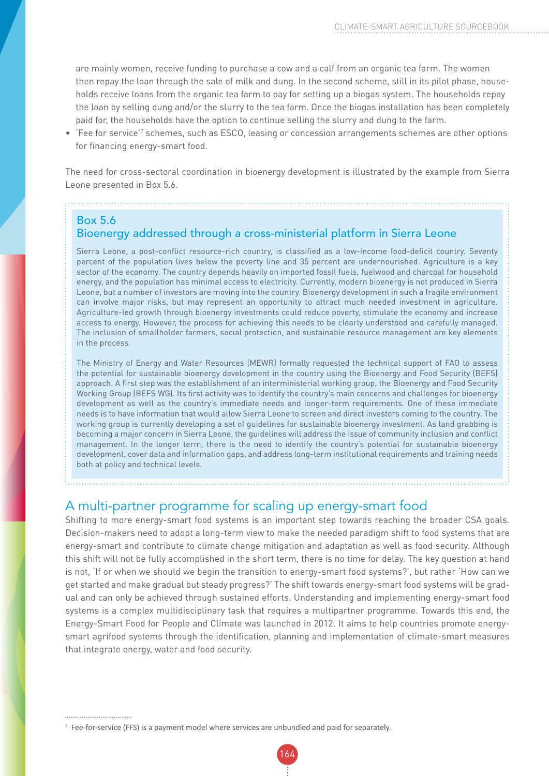are mainly women, receive funding to purchase a cow and a calf from an organic tea farm. The women then repay the loan through the sale of milk and dung. In the second scheme, still in its pilot phase, households receive loans from the organic tea farm to pay for setting up a biogas system. The households repay the loan by selling dung and/or the slurry to the tea farm. Once the biogas installation has been completely paid for, the households have the option to continue selling the slurry and dung to the farm.

• 'Fee for service'' schemes, such as ESCO, leasing or concession arrangements schemes are other options for financing energy-smart food.

The need for cross-sectoral coordination in bioenergy development is illustrated by the example from Sierra Leone presented in Box 5.6.

#### Box 5.6 Bioenergy addressed through a cross-ministerial platform in Sierra Leone

Sierra Leone, a post-conflict resource-rich country, is classified as a low-income food-deficit country. Seventy percent of the population lives below the poverty line and 35 percent are undernourished. Agriculture is a key sector of the economy. The country depends heavily on imported fossil fuels, fuelwood and charcoal for household energy, and the population has minimal access to electricity. Currently, modern bioenergy is not produced in Sierra Leone, but a number of investors are moving into the country. Bioenergy development in such a fragile environment can involve major risks, but may represent an opportunity to attract much needed investment in agriculture. Agriculture-led growth through bioenergy investments could reduce poverty, stimulate the economy and increase access to energy. However, the process for achieving this needs to be clearly understood and carefully managed. The inclusion of smallholder farmers, social protection, and sustainable resource management are key elements in the process.

The Ministry of Energy and Water Resources (MEWR) formally requested the technical support of FAO to assess the potential for sustainable bioenergy development in the country using the Bioenergy and Food Security (BEFS) approach. A first step was the establishment of an interministerial working group, the Bioenergy and Food Security Working Group (BEFS WG). Its first activity was to identify the country's main concerns and challenges for bioenergy development as well as the country's immediate needs and longer-term requirements. One of these immediate needs is to have information that would allow Sierra Leone to screen and direct investors coming to the country. The working group is currently developing a set of guidelines for sustainable bioenergy investment. As land grabbing is becoming a major concern in Sierra Leone, the guidelines will address the issue of community inclusion and conflict management. In the longer term, there is the need to identify the country's potential for sustainable bioenergy development, cover data and information gaps, and address long-term institutional requirements and training needs both at policy and technical levels.

### A multi-partner programme for scaling up energy-smart food

Shifting to more energy-smart food systems is an important step towards reaching the broader CSA goals. Decision-makers need to adopt a long-term view to make the needed paradigm shift to food systems that are energy-smart and contribute to climate change mitigation and adaptation as well as food security. Although this shift will not be fully accomplished in the short term, there is no time for delay. The key question at hand is not, 'If or when we should we begin the transition to energy-smart food systems?', but rather 'How can we get started and make gradual but steady progress?' The shift towards energy-smart food systems will be gradual and can only be achieved through sustained efforts. Understanding and implementing energy-smart food systems is a complex multidisciplinary task that requires a multipartner programme. Towards this end, the Energy-Smart Food for People and Climate was launched in 2012. It aims to help countries promote energysmart agrifood systems through the identification, planning and implementation of climate-smart measures that integrate energy, water and food security.

<sup>7</sup> Fee-for-service (FFS) is a payment model where services are unbundled and paid for separately.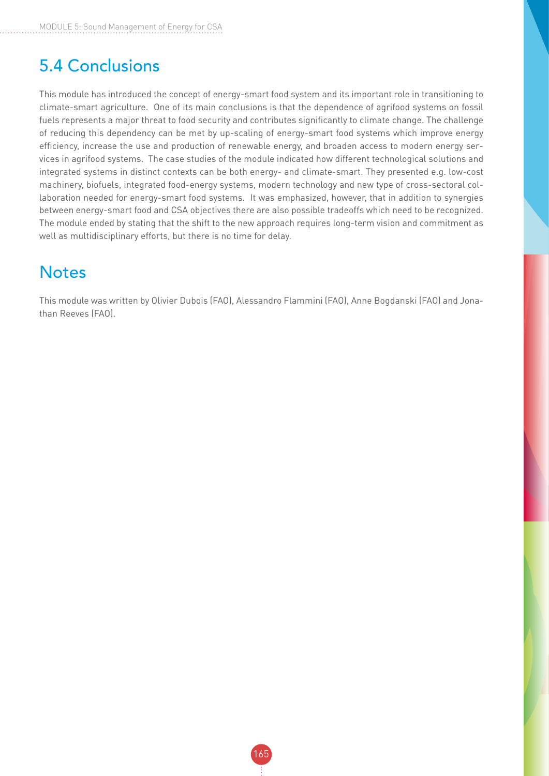## 5.4 Conclusions

This module has introduced the concept of energy-smart food system and its important role in transitioning to climate-smart agriculture. One of its main conclusions is that the dependence of agrifood systems on fossil fuels represents a major threat to food security and contributes significantly to climate change. The challenge of reducing this dependency can be met by up-scaling of energy-smart food systems which improve energy efficiency, increase the use and production of renewable energy, and broaden access to modern energy services in agrifood systems. The case studies of the module indicated how different technological solutions and integrated systems in distinct contexts can be both energy- and climate-smart. They presented e.g. low-cost machinery, biofuels, integrated food-energy systems, modern technology and new type of cross-sectoral collaboration needed for energy-smart food systems. It was emphasized, however, that in addition to synergies between energy-smart food and CSA objectives there are also possible tradeoffs which need to be recognized. The module ended by stating that the shift to the new approach requires long-term vision and commitment as well as multidisciplinary efforts, but there is no time for delay.

## **Notes**

This module was written by Olivier Dubois (FAO), Alessandro Flammini (FAO), Anne Bogdanski (FAO) and Jonathan Reeves (FAO).

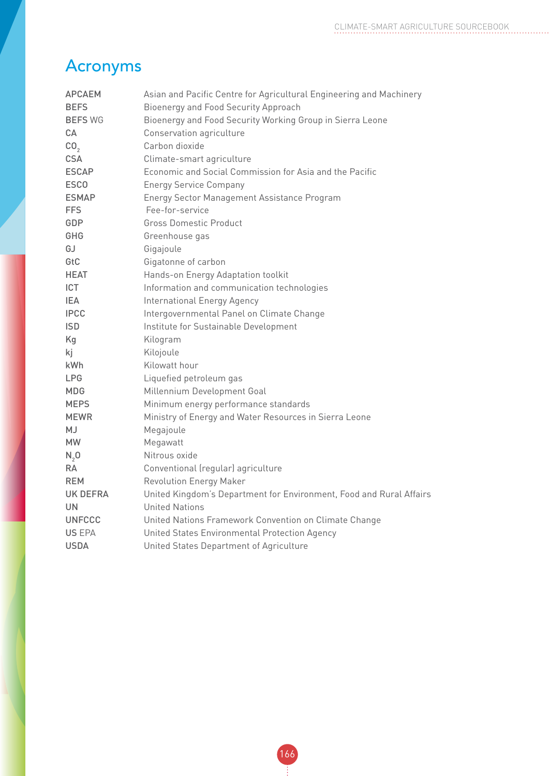## Acronyms

| <b>APCAEM</b>    | Asian and Pacific Centre for Agricultural Engineering and Machinery |
|------------------|---------------------------------------------------------------------|
| <b>BEFS</b>      | Bioenergy and Food Security Approach                                |
| <b>BEFS WG</b>   | Bioenergy and Food Security Working Group in Sierra Leone           |
| CA               | Conservation agriculture                                            |
| CO <sub>2</sub>  | Carbon dioxide                                                      |
| <b>CSA</b>       | Climate-smart agriculture                                           |
| <b>ESCAP</b>     | Economic and Social Commission for Asia and the Pacific             |
| ESC <sub>0</sub> | <b>Energy Service Company</b>                                       |
| <b>ESMAP</b>     | Energy Sector Management Assistance Program                         |
| <b>FFS</b>       | Fee-for-service                                                     |
| GDP              | <b>Gross Domestic Product</b>                                       |
| GHG              | Greenhouse gas                                                      |
| GJ               | Gigajoule                                                           |
| GtC              | Gigatonne of carbon                                                 |
| <b>HEAT</b>      | Hands-on Energy Adaptation toolkit                                  |
| ICT              | Information and communication technologies                          |
| <b>IEA</b>       | <b>International Energy Agency</b>                                  |
| <b>IPCC</b>      | Intergovernmental Panel on Climate Change                           |
| <b>ISD</b>       | Institute for Sustainable Development                               |
| Kg               | Kilogram                                                            |
| kj               | Kilojoule                                                           |
| kWh              | Kilowatt hour                                                       |
| <b>LPG</b>       | Liquefied petroleum gas                                             |
| <b>MDG</b>       | Millennium Development Goal                                         |
| <b>MEPS</b>      | Minimum energy performance standards                                |
| <b>MEWR</b>      | Ministry of Energy and Water Resources in Sierra Leone              |
| MJ               | Megajoule                                                           |
| <b>MW</b>        | Megawatt                                                            |
| N, 0             | Nitrous oxide                                                       |
| <b>RA</b>        | Conventional (regular) agriculture                                  |
| <b>REM</b>       | <b>Revolution Energy Maker</b>                                      |
| UK DEFRA         | United Kingdom's Department for Environment, Food and Rural Affairs |
| UN               | <b>United Nations</b>                                               |
| <b>UNFCCC</b>    | United Nations Framework Convention on Climate Change               |
| <b>US EPA</b>    | United States Environmental Protection Agency                       |
| <b>USDA</b>      | United States Department of Agriculture                             |
|                  |                                                                     |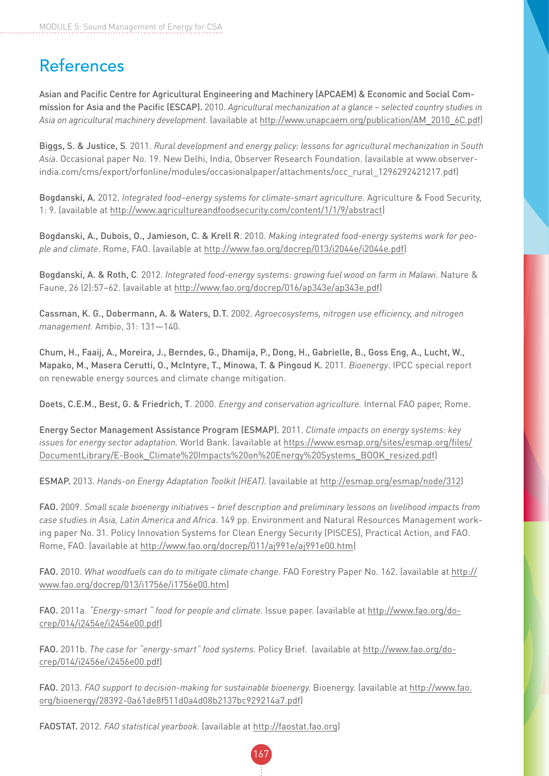## References

Asian and Pacific Centre for Agricultural Engineering and Machinery (APCAEM) & Economic and Social Commission for Asia and the Pacific (ESCAP). 2010. *Agricultural mechanization at a glance – selected country studies in Asia on agricultural machinery development.* (available at http://www.unapcaem.org/publication/AM\_2010\_6C.pdf)

Biggs, S. & Justice, S*.* 2011. *Rural development and energy policy: lessons for agricultural mechanization in South Asia.* Occasional paper No. 19. New Delhi, India, Observer Research Foundation. (available at www.observerindia.com/cms/export/orfonline/modules/occasionalpaper/attachments/occ\_rural\_1296292421217.pdf)

Bogdanski, A. 2012. *Integrated food–energy systems for climate-smart agriculture.* Agriculture & Food Security, 1: 9. (available at http://www.agricultureandfoodsecurity.com/content/1/1/9/abstract)

Bogdanski, A., Dubois, O., Jamieson, C. & Krell R. 2010. *Making integrated food-energy systems work for people and climate*. Rome, FAO. (available at http://www.fao.org/docrep/013/i2044e/i2044e.pdf)

Bogdanski, A. & Roth, C*.* 2012. *Integrated food-energy systems: growing fuel wood on farm in Malawi*. Nature & Faune, 26 (2):57–62. (available at http://www.fao.org/docrep/016/ap343e/ap343e.pdf)

Cassman, K. G., Dobermann, A. & Waters, D.T. 2002. *Agroecosystems, nitrogen use efficiency, and nitrogen management.* Ambio, 31: 131—140.

Chum, H., Faaij, A., Moreira, J., Berndes, G., Dhamija, P., Dong, H., Gabrielle, B., Goss Eng, A., Lucht, W., Mapako, M., Masera Cerutti, O., McIntyre, T., Minowa, T. & Pingoud K. 2011. *Bioenergy*. IPCC special report on renewable energy sources and climate change mitigation.

Doets, C.E.M., Best, G. & Friedrich, T. 2000. *Energy and conservation agriculture.* Internal FAO paper, Rome.

Energy Sector Management Assistance Program (ESMAP). 2011. *Climate impacts on energy systems: key issues for energy sector adaptation.* World Bank. (available at https://www.esmap.org/sites/esmap.org/files/ DocumentLibrary/E-Book\_Climate%20Impacts%20on%20Energy%20Systems\_BOOK\_resized.pdf)

ESMAP. 2013. *Hands-on Energy Adaptation Toolkit (HEAT).* (available at http://esmap.org/esmap/node/312)

FAO. 2009. *Small scale bioenergy initiatives – brief description and preliminary lessons on livelihood impacts from case studies in Asia, Latin America and Africa.* 149 pp. Environment and Natural Resources Management working paper No. 31. Policy Innovation Systems for Clean Energy Security (PISCES), Practical Action, and FAO. Rome, FAO. (available at http://www.fao.org/docrep/011/aj991e/aj991e00.htm)

FAO. 2010. What woodfuels can do to mitigate climate change. FAO Forestry Paper No. 162. (available at http:// www.fao.org/docrep/013/i1756e/i1756e00.htm)

FAO. 2011a. *"Energy-smart " food for people and climate.* Issue paper. (available at http://www.fao.org/docrep/014/i2454e/i2454e00.pdf)

FAO. 2011b. *The case for "energy-smart" food systems.* Policy Brief. (available at http://www.fao.org/docrep/014/i2456e/i2456e00.pdf)

FAO. 2013. *FAO support to decision-making for sustainable bioenergy.* Bioenergy. (available at http://www.fao. org/bioenergy/28392-0a61de8f511d0a4d08b2137bc929214a7.pdf)

FAOSTAT. 2012. *FAO statistical yearbook.* (available at http://faostat.fao.org)

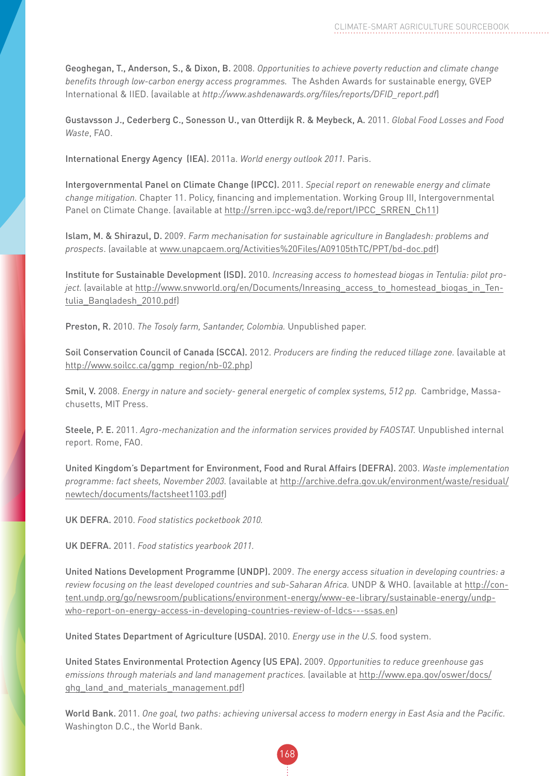Geoghegan, T., Anderson, S., & Dixon, B. 2008. *Opportunities to achieve poverty reduction and climate change benefits through low-carbon energy access programmes.* The Ashden Awards for sustainable energy, GVEP International & IIED. (available at *http://www.ashdenawards.org/files/reports/DFID\_report.pdf*)

Gustavsson J., Cederberg C., Sonesson U., van Otterdijk R. & Meybeck, A. 2011. *Global Food Losses and Food Waste*, FAO.

International Energy Agency (IEA). 2011a. *World energy outlook 2011.* Paris.

Intergovernmental Panel on Climate Change (IPCC). 2011. *Special report on renewable energy and climate change mitigation.* Chapter 11. Policy, financing and implementation. Working Group III, Intergovernmental Panel on Climate Change. (available at http://srren.ipcc-wg3.de/report/IPCC\_SRREN\_Ch11)

Islam, M. & Shirazul, D. 2009. *Farm mechanisation for sustainable agriculture in Bangladesh: problems and prospects*. (available at www.unapcaem.org/Activities%20Files/A09105thTC/PPT/bd-doc.pdf)

Institute for Sustainable Development (ISD). 2010. *Increasing access to homestead biogas in Tentulia: pilot project.* (available at http://www.snvworld.org/en/Documents/Inreasing\_access\_to\_homestead\_biogas\_in\_Tentulia\_Bangladesh\_2010.pdf)

Preston, R. 2010. *The Tosoly farm, Santander, Colombia.* Unpublished paper.

Soil Conservation Council of Canada (SCCA). 2012. *Producers are finding the reduced tillage zone.* (available at http://www.soilcc.ca/ggmp\_region/nb-02.php)

Smil, V. 2008. *Energy in nature and society- general energetic of complex systems, 512 pp.* Cambridge, Massachusetts, MIT Press.

Steele, P. E. 2011. *Agro-mechanization and the information services provided by FAOSTAT.* Unpublished internal report. Rome, FAO.

United Kingdom's Department for Environment, Food and Rural Affairs (DEFRA). 2003. *Waste implementation programme: fact sheets, November 2003.* (available at http://archive.defra.gov.uk/environment/waste/residual/ newtech/documents/factsheet1103.pdf)

UK DEFRA. 2010. *Food statistics pocketbook 2010.*

UK DEFRA. 2011. *Food statistics yearbook 2011.*

United Nations Development Programme (UNDP). 2009. *The energy access situation in developing countries: a review focusing on the least developed countries and sub-Saharan Africa.* UNDP & WHO. (available at http://content.undp.org/go/newsroom/publications/environment-energy/www-ee-library/sustainable-energy/undpwho-report-on-energy-access-in-developing-countries-review-of-ldcs---ssas.en)

United States Department of Agriculture (USDA). 2010. *Energy use in the U.S.* food system.

United States Environmental Protection Agency (US EPA). 2009. *Opportunities to reduce greenhouse gas emissions through materials and land management practices.* (available at http://www.epa.gov/oswer/docs/ ghg\_land\_and\_materials\_management.pdf)

World Bank. 2011. *One goal, two paths: achieving universal access to modern energy in East Asia and the Pacific.*  Washington D.C., the World Bank.